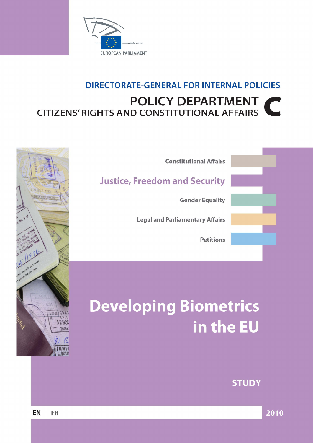

## **DIRECTORATE-GENERAL FOR INTERNAL POLICIES POLICY DEPARTMENT**  $\blacksquare$ **CITIZENS' RIGHTS AND CONSTITUTIONAL AFFAIRS**



# Developing Biometrics in the EU

## **STUDY**



 $z^c$ 

IMMIGRA  $7183$ 

**12NO** 

ZIMBA

 $\mathbb{R}$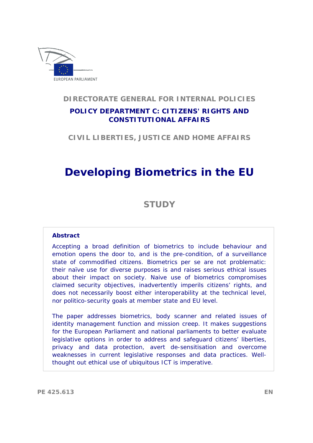

## **DIRECTORATE GENERAL FOR INTERNAL POLICIES**

## **POLICY DEPARTMENT C: CITIZENS' RIGHTS AND CONSTITUTIONAL AFFAIRS**

**CIVIL LIBERTIES, JUSTICE AND HOME AFFAIRS** 

# **Developing Biometrics in the EU**

## **STUDY**

## **Abstract**

Accepting a broad definition of biometrics to include behaviour and emotion opens the door to, and is the pre-condition, of a surveillance state of commodified citizens. Biometrics per se are not problematic: their naïve use for diverse purposes is and raises serious ethical issues about their impact on society. Naive use of biometrics compromises claimed security objectives, inadvertently imperils citizens' rights, and does not necessarily boost either interoperability at the technical level, nor politico-security goals at member state and EU level.

The paper addresses biometrics, body scanner and related issues of identity management function and mission creep. It makes suggestions for the European Parliament and national parliaments to better evaluate legislative options in order to address and safeguard citizens' liberties, privacy and data protection, avert de-sensitisation and overcome weaknesses in current legislative responses and data practices. Wellthought out ethical use of ubiquitous ICT is imperative.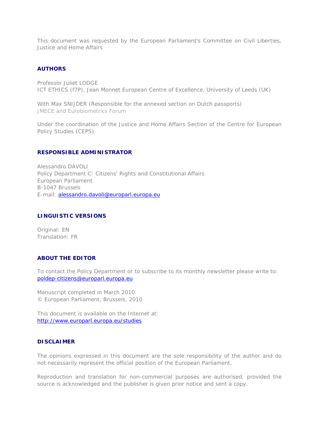This document was requested by the European Parliament's Committee on Civil Liberties, Justice and Home Affairs

#### **AUTHORS**

Professor Juliet LODGE ICT ETHICS (f7P), Jean Monnet European Centre of Excellence, University of Leeds (UK)

With Max SNIJDER (Responsible for the annexed section on Dutch passports) JMECE and Eurobiometrics Forum

*Under the coordination of the Justice and Home Affairs Section of the Centre for European Policy Studies (CEPS)*

#### **RESPONSIBLE ADMINISTRATOR**

Alessandro DAVOLI Policy Department C: Citizens' Rights and Constitutional Affairs European Parliament B-1047 Brussels E-mail: [alessandro.davoli@europarl.europa.eu](mailto:alessandro.davoli@europarl.europa.eu)

## **LINGUISTIC VERSIONS**

Original: EN Translation: FR

## **ABOUT THE EDITOR**

To contact the Policy Department or to subscribe to its monthly newsletter please write to: [poldep-citizens@europarl.europa.eu](mailto:poldep-citizens@europarl.europa.eu)

Manuscript completed in March 2010 © European Parliament, Brussels, 2010

This document is available on the Internet at: <http://www.europarl.europa.eu/studies>

## **DISCLAIMER**

The opinions expressed in this document are the sole responsibility of the author and do not necessarily represent the official position of the European Parliament.

Reproduction and translation for non-commercial purposes are authorised, provided the source is acknowledged and the publisher is given prior notice and sent a copy.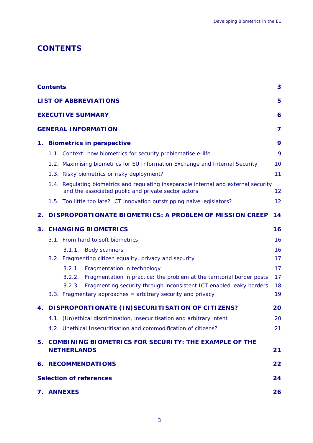## <span id="page-4-0"></span>**CONTENTS**

|                                                          | <b>Contents</b>                                                                                                                               | 3        |  |  |  |  |  |  |  |  |
|----------------------------------------------------------|-----------------------------------------------------------------------------------------------------------------------------------------------|----------|--|--|--|--|--|--|--|--|
|                                                          | <b>LIST OF ABBREVIATIONS</b>                                                                                                                  | 5        |  |  |  |  |  |  |  |  |
|                                                          | <b>EXECUTIVE SUMMARY</b><br>6                                                                                                                 |          |  |  |  |  |  |  |  |  |
|                                                          | <b>GENERAL INFORMATION</b><br>7                                                                                                               |          |  |  |  |  |  |  |  |  |
| 1.                                                       | <b>Biometrics in perspective</b>                                                                                                              | 9        |  |  |  |  |  |  |  |  |
|                                                          | 1.1. Context: how biometrics for security problematise e-life                                                                                 | 9        |  |  |  |  |  |  |  |  |
|                                                          | 1.2. Maximising biometrics for EU Information Exchange and Internal Security                                                                  | 10       |  |  |  |  |  |  |  |  |
|                                                          | 1.3. Risky biometrics or risky deployment?                                                                                                    | 11       |  |  |  |  |  |  |  |  |
|                                                          | 1.4. Regulating biometrics and regulating inseparable internal and external security<br>and the associated public and private sector actors   | 12       |  |  |  |  |  |  |  |  |
|                                                          | 1.5. Too little too late? ICT innovation outstripping naive legislators?                                                                      | 12       |  |  |  |  |  |  |  |  |
| 2.                                                       | <b>DISPROPORTIONATE BIOMETRICS: A PROBLEM OF MISSION CREEP</b>                                                                                | 14       |  |  |  |  |  |  |  |  |
| 3.                                                       | <b>CHANGING BIOMETRICS</b>                                                                                                                    | 16       |  |  |  |  |  |  |  |  |
|                                                          | 3.1. From hard to soft biometrics                                                                                                             | 16       |  |  |  |  |  |  |  |  |
|                                                          | 3.1.1.<br><b>Body scanners</b>                                                                                                                | 16       |  |  |  |  |  |  |  |  |
|                                                          | 3.2. Fragmenting citizen equality, privacy and security                                                                                       | 17       |  |  |  |  |  |  |  |  |
|                                                          | 3.2.1.<br>Fragmentation in technology                                                                                                         | 17       |  |  |  |  |  |  |  |  |
|                                                          | Fragmentation in practice: the problem at the territorial border posts<br>3.2.2.                                                              | 17       |  |  |  |  |  |  |  |  |
|                                                          | Fragmenting security through inconsistent ICT enabled leaky borders<br>3.2.3.<br>3.3. Fragmentary approaches = arbitrary security and privacy | 18<br>19 |  |  |  |  |  |  |  |  |
| 4.                                                       | DISPROPORTIONATE (IN)SECURITISATION OF CITIZENS?                                                                                              | 20       |  |  |  |  |  |  |  |  |
|                                                          | 4.1. (Un)ethical discrimination, insecuritisation and arbitrary intent                                                                        | 20       |  |  |  |  |  |  |  |  |
|                                                          | 4.2. Unethical Insecuritisation and commodification of citizens?                                                                              | 21       |  |  |  |  |  |  |  |  |
| 5. COMBINING BIOMETRICS FOR SECURITY: THE EXAMPLE OF THE |                                                                                                                                               |          |  |  |  |  |  |  |  |  |
|                                                          | <b>NETHERLANDS</b>                                                                                                                            | 21       |  |  |  |  |  |  |  |  |
|                                                          | <b>6. RECOMMENDATIONS</b>                                                                                                                     | 22       |  |  |  |  |  |  |  |  |
|                                                          | <b>Selection of references</b><br>24                                                                                                          |          |  |  |  |  |  |  |  |  |
|                                                          | 7. ANNEXES                                                                                                                                    | 26       |  |  |  |  |  |  |  |  |

 $\_$  , and the set of the set of the set of the set of the set of the set of the set of the set of the set of the set of the set of the set of the set of the set of the set of the set of the set of the set of the set of th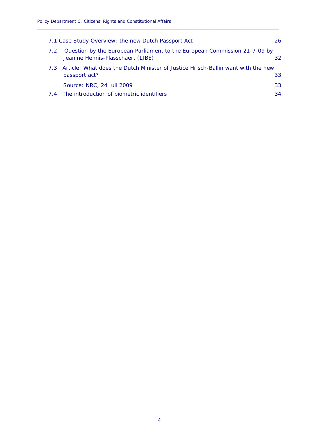|     | 7.1 Case Study Overview: the new Dutch Passport Act                                                                  | 26 |  |  |  |  |
|-----|----------------------------------------------------------------------------------------------------------------------|----|--|--|--|--|
| 7.2 | Question by the European Parliament to the European Commission 21-7-09 by<br>Jeanine Hennis-Plasschaert (LIBE)<br>32 |    |  |  |  |  |
|     | 7.3 Article: What does the Dutch Minister of Justice Hrisch-Ballin want with the new<br>33<br>passport act?          |    |  |  |  |  |
|     | Source: NRC, 24 juli 2009                                                                                            | 33 |  |  |  |  |
|     | 7.4 The introduction of biometric identifiers                                                                        | 34 |  |  |  |  |

**\_\_\_\_\_\_\_\_\_\_\_\_\_\_\_\_\_\_\_\_\_\_\_\_\_\_\_\_\_\_\_\_\_\_\_\_\_\_\_\_\_\_\_\_\_\_\_\_\_\_\_\_\_\_\_\_\_\_\_\_\_\_\_\_\_\_\_\_\_\_\_\_\_\_\_\_\_\_\_\_\_\_\_\_\_\_\_\_\_\_\_\_**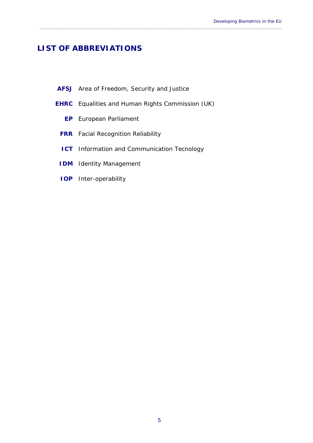## <span id="page-6-0"></span>**LIST OF ABBREVIATIONS**

|  | <b>AFSJ</b> Area of Freedom, Security and Justice |  |  |
|--|---------------------------------------------------|--|--|
|  |                                                   |  |  |

**EHRC** Equalities and Human Rights Commission (UK)

 $\_$  , and the set of the set of the set of the set of the set of the set of the set of the set of the set of the set of the set of the set of the set of the set of the set of the set of the set of the set of the set of th

- **EP** European Parliament
- **FRR** Facial Recognition Reliability
- **ICT** Information and Communication Tecnology
- **IDM** Identity Management
- **IOP** Inter-operability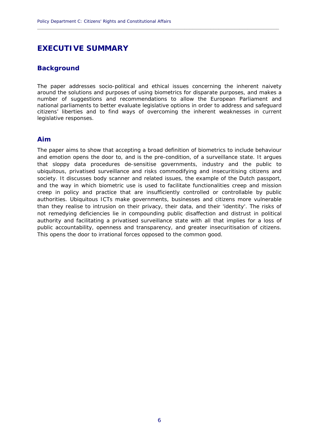## <span id="page-7-0"></span>**EXECUTIVE SUMMARY**

## **Background**

The paper addresses socio-political and ethical issues concerning the inherent naivety around the solutions and purposes of using biometrics for disparate purposes, and makes a number of suggestions and recommendations to allow the European Parliament and national parliaments to better evaluate legislative options in order to address and safeguard citizens' liberties and to find ways of overcoming the inherent weaknesses in current legislative responses.

**\_\_\_\_\_\_\_\_\_\_\_\_\_\_\_\_\_\_\_\_\_\_\_\_\_\_\_\_\_\_\_\_\_\_\_\_\_\_\_\_\_\_\_\_\_\_\_\_\_\_\_\_\_\_\_\_\_\_\_\_\_\_\_\_\_\_\_\_\_\_\_\_\_\_\_\_\_\_\_\_\_\_\_\_\_\_\_\_\_\_\_\_**

## **Aim**

The paper aims to show that accepting a broad definition of biometrics to include behaviour and emotion opens the door to, and is the pre-condition, of a surveillance state. It argues that sloppy data procedures de-sensitise governments, industry and the public to ubiquitous, privatised surveillance and risks commodifying and insecuritising citizens and society. It discusses body scanner and related issues, the example of the Dutch passport, and the way in which biometric use is used to facilitate functionalities creep and mission creep in policy and practice that are insufficiently controlled or controllable by public authorities. Ubiquitous ICTs make governments, businesses and citizens more vulnerable than they realise to intrusion on their privacy, their data, and their 'identity'. The risks of not remedying deficiencies lie in compounding public disaffection and distrust in political authority and facilitating a privatised surveillance state with all that implies for a loss of public accountability, openness and transparency, and greater insecuritisation of citizens. This opens the door to irrational forces opposed to the common good.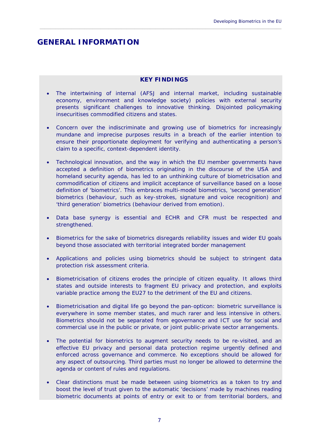## <span id="page-8-0"></span>**GENERAL INFORMATION**

## **KEY FINDINGS**

 $\_$  , and the set of the set of the set of the set of the set of the set of the set of the set of the set of the set of the set of the set of the set of the set of the set of the set of the set of the set of the set of th

- The intertwining of internal (AFSJ and internal market, including sustainable economy, environment and knowledge society) policies with external security presents significant challenges to innovative thinking. Disjointed policymaking insecuritises commodified citizens and states.
- Concern over the indiscriminate and growing use of biometrics for increasingly mundane and imprecise purposes results in a breach of the earlier intention to ensure their proportionate deployment for verifying and authenticating a person's claim to a specific, context-dependent identity.
- Technological innovation, and the way in which the EU member governments have accepted a definition of biometrics originating in the discourse of the USA and homeland security agenda, has led to an unthinking culture of biometricisation and commodification of citizens and implicit acceptance of surveillance based on a loose definition of 'biometrics'. This embraces multi-model biometrics, 'second generation' biometrics (behaviour, such as key-strokes, signature and voice recognition) and 'third generation' biometrics (behaviour derived from emotion).
- Data base synergy is essential and ECHR and CFR must be respected and strengthened.
- Biometrics for the sake of biometrics disregards reliability issues and wider EU goals beyond those associated with territorial integrated border management
- Applications and policies using biometrics should be subject to stringent data protection risk assessment criteria.
- Biometricisation of citizens erodes the principle of citizen equality. It allows third states and outside interests to fragment EU privacy and protection, and exploits variable practice among the EU27 to the detriment of the EU and citizens.
- Biometricisation and digital life go beyond the pan-opticon: biometric surveillance is everywhere in some member states, and much rarer and less intensive in others. Biometrics should not be separated from egovernance and ICT use for social and commercial use in the public or private, or joint public-private sector arrangements.
- The potential for biometrics to augment security needs to be re-visited, and an effective EU privacy and personal data protection regime urgently defined and enforced across governance and commerce. No exceptions should be allowed for any aspect of outsourcing. Third parties must no longer be allowed to determine the agenda or content of rules and regulations.
- Clear distinctions must be made between using biometrics as a token to try and boost the level of trust given to the automatic 'decisions' made by machines reading biometric documents at points of entry or exit to or from territorial borders, and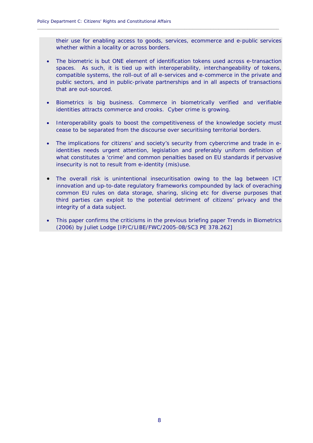their use for enabling access to goods, services, ecommerce and e-public services whether within a locality or across borders.

**\_\_\_\_\_\_\_\_\_\_\_\_\_\_\_\_\_\_\_\_\_\_\_\_\_\_\_\_\_\_\_\_\_\_\_\_\_\_\_\_\_\_\_\_\_\_\_\_\_\_\_\_\_\_\_\_\_\_\_\_\_\_\_\_\_\_\_\_\_\_\_\_\_\_\_\_\_\_\_\_\_\_\_\_\_\_\_\_\_\_\_\_**

- The biometric is but ONE element of identification tokens used across e-transaction spaces. As such, it is tied up with interoperability, interchangeability of tokens, compatible systems, the roll-out of all e-services and e-commerce in the private and public sectors, and in public-private partnerships and in all aspects of transactions that are out-sourced.
- Biometrics is big business. Commerce in biometrically verified and verifiable identities attracts commerce and crooks. Cyber crime is growing.
- Interoperability goals to boost the competitiveness of the knowledge society must cease to be separated from the discourse over securitising territorial borders.
- The implications for citizens' and society's security from cybercrime and trade in eidentities needs urgent attention, legislation and preferably uniform definition of what constitutes a 'crime' and common penalties based on EU standards if pervasive insecurity is not to result from e-identity (mis)use.
- The overall risk is unintentional insecuritisation owing to the lag between ICT innovation and up-to-date regulatory frameworks compounded by lack of overaching common EU rules on data storage, sharing, slicing etc for diverse purposes that third parties can exploit to the potential detriment of citizens' privacy and the integrity of a data subject.
- This paper confirms the criticisms in the previous briefing paper Trends in Biometrics (2006) by Juliet Lodge [IP/C/LIBE/FWC/2005-08/SC3 PE 378.262]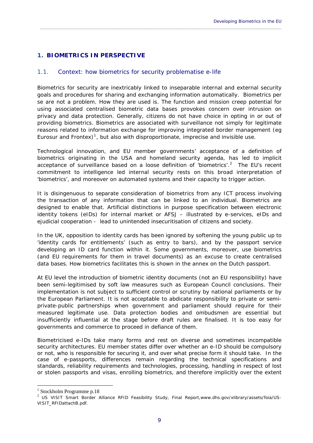## <span id="page-10-0"></span>**1. BIOMETRICS IN PERSPECTIVE**

## <span id="page-10-1"></span>1.1. Context: how biometrics for security problematise e-life

Biometrics for security are inextricably linked to inseparable internal and external security goals and procedures for sharing and exchanging information automatically. Biometrics per se are not a problem. How they are used is. The function and mission creep potential for using associated centralised biometric data bases provokes concern over intrusion on privacy and data protection. Generally, citizens do not have choice in opting in or out of providing biometrics. Biometrics are associated with surveillance not simply for legitimate reasons related to information exchange for improving integrated border management (eg Eurosur and Frontex)<sup>[1](#page-10-2)</sup>, but also with disproportionate, imprecise and invisible use.

 $\_$  , and the set of the set of the set of the set of the set of the set of the set of the set of the set of the set of the set of the set of the set of the set of the set of the set of the set of the set of the set of th

Technological innovation, and EU member governments' acceptance of a definition of biometrics originating in the USA and homeland security agenda, has led to implicit acceptance of surveillance based on a loose definition of 'biometrics'.<sup>[2](#page-10-3)</sup> The EU's recent commitment to intelligence led internal security rests on this broad interpretation of 'biometrics', and moreover on automated systems and their capacity to trigger action.

It is disingenuous to separate consideration of biometrics from any ICT process involving the transaction of any information that can be linked to an individual. Biometrics are designed to enable that. Artificial distinctions in purpose specification between electronic identity tokens (eIDs) for internal market or AFSJ – illustrated by e-services, eIDs and ejudicial cooperation - lead to unintended insecuritisation of citizens and society.

In the UK, opposition to identity cards has been ignored by softening the young public up to 'identity cards for entitlements' (such as entry to bars), and by the passport service developing an ID card function within it. Some governments, moreover, use biometrics (and EU requirements for them in travel documents) as an excuse to create centralised data bases. How biometrics facilitates this is shown in the annex on the Dutch passport.

At EU level the introduction of biometric identity documents (not an EU responsibility) have been semi-legitimised by soft law measures such as European Council conclusions. Their implementation is not subject to sufficient control or scrutiny by national parliaments or by the European Parliament. It is not acceptable to abdicate responsibility to private or semiprivate-public partnerships when government and parliament should require for their measured legitimate use. Data protection bodies and ombudsmen are essential but insufficiently influential at the stage before draft rules are finalised. It is too easy for governments and commerce to proceed in defiance of them.

Biometricised e-IDs take many forms and rest on diverse and sometimes incompatible security architectures. EU member states differ over whether an e-ID should be compulsory or not, who is responsible for securing it, and over what precise form it should take. In the case of e-passports, differences remain regarding the technical specifications and standards, reliability requirements and technologies, processing, handling in respect of lost or stolen passports and visas, enrolling biometrics, and therefore implicitly over the extent

<u>.</u>

<span id="page-10-2"></span><sup>&</sup>lt;sup>1</sup> Stockholm Programme p.18

<span id="page-10-3"></span><sup>2</sup> US VISIT *Smart Border Alliance RFID Feasibility Study*, Final Report,www.dhs.gov/xlibrary/assets/foia/US-VISIT\_RFIDattachB.pdf.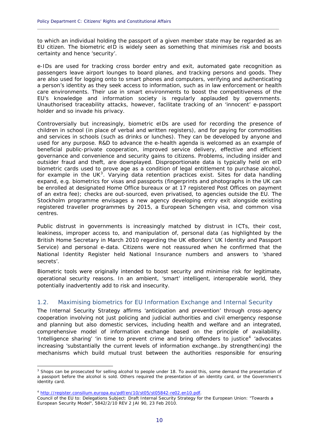to which an individual holding the passport of a given member state may be regarded as an EU citizen. The biometric eID is widely seen as something that minimises risk and boosts certainty and hence 'security'.

**\_\_\_\_\_\_\_\_\_\_\_\_\_\_\_\_\_\_\_\_\_\_\_\_\_\_\_\_\_\_\_\_\_\_\_\_\_\_\_\_\_\_\_\_\_\_\_\_\_\_\_\_\_\_\_\_\_\_\_\_\_\_\_\_\_\_\_\_\_\_\_\_\_\_\_\_\_\_\_\_\_\_\_\_\_\_\_\_\_\_\_\_**

e-IDs are used for tracking cross border entry and exit, automated gate recognition as passengers leave airport lounges to board planes, and tracking persons and goods. They are also used for logging onto to smart phones and computers, verifying and authenticating a person's identity as they seek access to information, such as in law enforcement or health care environments. Their use in smart environments to boost the competitiveness of the EU's knowledge and information society is regularly applauded by governments. Unauthorised traceability attacks, however, facilitate tracking of an 'innocent' e-passport holder and so invade his privacy.

Controversially but increasingly, biometric eIDs are used for recording the presence of children in school (in place of verbal and written registers), and for paying for commodities and services in schools (such as drinks or lunches). They can be developed by anyone and used for any purpose. R&D to advance the e-health agenda is welcomed as an example of beneficial public-private cooperation, improved service delivery, effective and efficient governance and convenience and security gains to citizens. Problems, including insider and outsider fraud and theft, are downplayed. Disproportionate data is typically held on eID biometric cards used to prove age as a condition of legal entitlement to purchase alcohol, for example in the UK<sup>[3](#page-11-1)</sup>. Varying data retention practices exist. Sites for data handling expand, e.g. biometrics for visas and passports (fingerprints and photographs in the UK can be enrolled at designated Home Office bureaux or at 17 registered Post Offices on payment of an extra fee); checks are out-sourced, even privatised, to agencies outside the EU. The Stockholm programme envisages a new agency developing entry exit alongside existing registered traveller programmes by 2015, a European Schengen visa, and common visa centres.

Public distrust in governments is increasingly matched by distrust in ICTs, their cost, leakiness, improper access to, and manipulation of, personal data (as highlighted by the British Home Secretary in March 2010 regarding the UK eBorders' UK Identity and Passport Service) and personal e-data. Citizens were not reassured when he confirmed that the National Identity Register held National Insurance numbers and answers to 'shared secrets'.

*Biometric tools were originally intended to boost security and minimise risk for legitimate, operational security reasons. In an ambient, 'smart' intelligent, interoperable world, they potentially inadvertently add to risk and insecurity.* 

## <span id="page-11-0"></span>1.2. Maximising biometrics for EU Information Exchange and Internal Security

The *Internal Security Strategy* affirms 'anticipation and prevention' through cross-agency cooperation involving not just policing and judicial authorities and civil emergency response and planning but also domestic services, including health and welfare and an integrated, comprehensive model of information exchange based on the principle of availability. 'Intelligence sharing' 'in time to prevent crime and bring offenders to justice<sup>[4](#page-11-2)</sup> 'advocates' increasing 'substantially the current levels of information exchange…by strengthen(ing) the mechanisms which build mutual trust between the authorities responsible for ensuring

<u>.</u>

<span id="page-11-1"></span><sup>&</sup>lt;sup>3</sup> Shops can be prosecuted for selling alcohol to people under 18. To avoid this, some demand the presentation of a passport before the alcohol is sold. Others required the presentation of an identity card, or the Government's identity card.

<sup>4</sup> [http://register.consilium.europa.eu/pdf/en/10/st05/st05842-re02.en10.pdf.](http://register.consilium.europa.eu/pdf/en/10/st05/st05842-re02.en10.pdf)

<span id="page-11-2"></span>Council of the EU to: Delegations Subject: Draft Internal Security Strategy for the European Union: "Towards a European Security Model", 5842/2/10 REV 2 JAI 90, 23 Feb 2010.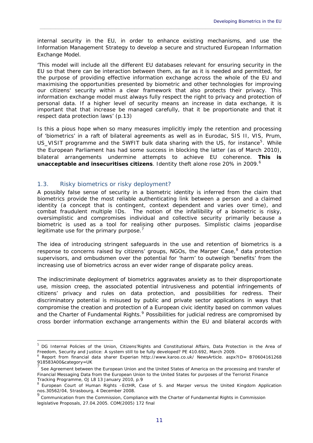internal security in the EU, in order to enhance existing mechanisms, and use the Information Management Strategy to develop a secure and structured European Information Exchange Model.

 $\_$  , and the set of the set of the set of the set of the set of the set of the set of the set of the set of the set of the set of the set of the set of the set of the set of the set of the set of the set of the set of th

'This model will include all the different EU databases relevant for ensuring security in the EU so that there can be interaction between them, as far as it is needed and permitted, for the purpose of providing effective information exchange across the whole of the EU and maximising the opportunities presented by biometric and other technologies for improving our citizens' security within a clear framework that also protects their privacy. This information exchange model must always fully respect the right to privacy and protection of personal data. If a higher level of security means an increase in data exchange, it is important that that increase be managed carefully, that it be proportionate and that it respect data protection laws' (p.13)

Is this a pious hope when so many measures implicitly imply the retention and processing of 'biometrics' in a raft of bilateral agreements as well as in Eurodac, SIS II, VIS, Prum, US VISIT programme and the SWFIT bulk data sharing with the US, for instance<sup>[5](#page-12-1)</sup>. While the European Parliament has had some success in blocking the latter (as of March 2010), bilateral arrangements undermine attempts to achieve EU coherence. *This is unacceptable and insecuritises citizens*. Identity theft alone rose 20% in 2009.<sup>[6](#page-12-2)</sup>

## <span id="page-12-0"></span>1.3. Risky biometrics or risky deployment?

1

A possibly false sense of security in a biometric identity is inferred from the claim that biometrics provide the most reliable authenticating link between a person and a claimed identity (a concept that is contingent, context dependent and varies over time), and combat fraudulent multiple IDs. The notion of the infallibility of a biometric is risky, oversimplistic and compromises individual and collective security primarily because a biometric is used as a tool for realising other purposes. Simplistic claims jeopardise legitimate use for the primary purpose.<sup>[7](#page-12-3)</sup>

The idea of introducing stringent safeguards in the use and retention of biometrics is a response to concerns raised by citizens' groups, NGOs, the Marper Case,<sup>[8](#page-12-4)</sup> data protection supervisors, and ombudsmen over the potential for 'harm' to outweigh 'benefits' from the increasing use of biometrics across an ever wider range of disparate policy areas.

The indiscriminate deployment of biometrics aggravates anxiety as to their disproportionate use, mission creep, the associated potential intrusiveness and potential infringements of citizens' privacy and rules on data protection, and possibilities for redress. Their discriminatory potential is misused by public and private sector applications in ways that compromise the creation and protection of a European civic identity based on common values and the Charter of Fundamental Rights.<sup>[9](#page-12-5)</sup> Possibilities for judicial redress are compromised by cross border information exchange arrangements within the EU and bilateral accords with

<span id="page-12-1"></span><sup>5</sup> DG Internal Policies of the Union, Citizens'Rights and Constitutional Affairs, *Data Protection in the Area of Freedom, Security and Justice: A system still to be fully developed?* PE 410.692, March 2009.

<span id="page-12-2"></span>Report from financial data sharer Experian http://www.karoo.co.uk/ NewsArticle. aspx?ID= B70604161268 918583A00&category=UK

<span id="page-12-3"></span><sup>7</sup> See Agreement between the European Union and the United States of America on the processing and transfer of Financial Messaging Data from the European Union to the United States for purposes of the Terrorist Finance Tracking Programme, OJ L8 13 January 2010, p.9

<span id="page-12-4"></span><sup>8</sup> European Court of Human Rights –EctHR, *Case of S. and Marper versus the United Kingdom* Application nos.30562/04, Strasbourg, 4 December 2008.

<span id="page-12-5"></span>Communication from the Commission, Compliance with the Charter of Fundamental Rights in Commission legislative Proposals, 27.04.2005. COM(2005) 172 final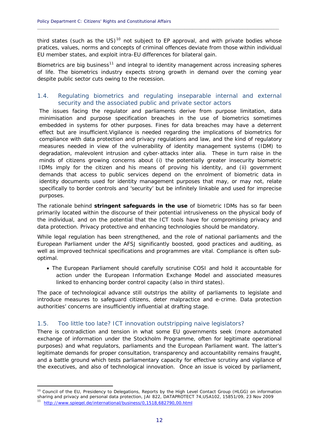third states (such as the US) $10$  not subject to EP approval, and with private bodies whose pratices, values, norms and concepts of criminal offences deviate from those within individual EU member states, and exploit intra-EU differences for bilateral gain.

**\_\_\_\_\_\_\_\_\_\_\_\_\_\_\_\_\_\_\_\_\_\_\_\_\_\_\_\_\_\_\_\_\_\_\_\_\_\_\_\_\_\_\_\_\_\_\_\_\_\_\_\_\_\_\_\_\_\_\_\_\_\_\_\_\_\_\_\_\_\_\_\_\_\_\_\_\_\_\_\_\_\_\_\_\_\_\_\_\_\_\_\_**

Biometrics are big business<sup>[11](#page-13-3)</sup> and integral to identity management across increasing spheres of life. The biometrics industry expects strong growth in demand over the coming year despite public sector cuts owing to the recession.

## <span id="page-13-0"></span>1.4. Regulating biometrics and regulating inseparable internal and external security and the associated public and private sector actors

The issues facing the regulator and parliaments derive from purpose limitation, data minimisation and purpose specification breaches in the use of biometrics sometimes embedded in systems for other purposes. Fines for data breaches may have a deterrent effect but are insufficient.Vigilance is needed regarding the implications of biometrics for compliance with data protection and privacy regulations and law, and the kind of regulatory measures needed in view of the vulnerability of identity management systems (IDM) to degradation, malevolent intrusion and cyber-attacks inter alia. These in turn raise in the minds of citizens growing concerns about (i) the potentially greater insecurity biometric IDMs imply for the citizen and his means of proving his identity, and (ii) government demands that access to public services depend on the enrolment of biometric data in identity documents used for identity management purposes that may, or may not, relate specifically to border controls and 'security' but be infinitely linkable and used for imprecise purposes.

The rationale behind *stringent safeguards in the use* of biometric IDMs has so far been primarily located within the discourse of their potential intrusiveness on the physical body of the individual, and on the potential that the ICT tools have for compromising privacy and data protection. Privacy protective and enhancing technologies should be mandatory.

While legal regulation has been strengthened, and the role of national parliaments and the European Parliament under the AFSJ significantly boosted, good practices and auditing, as well as improved technical specifications and programmes are vital. Compliance is often suboptimal.

 The European Parliament should carefully scrutinise COSI and hold it accountable for action under the European Information Exchange Model and associated measures linked to enhancing border control capacity (also in third states).

The pace of technological advance still outstrips the ability of parliaments to legislate and introduce measures to safeguard citizens, deter malpractice and e-crime. Data protection authorities' concerns are insufficiently influential at drafting stage.

## <span id="page-13-1"></span>1.5. Too little too late? ICT innovation outstripping naive legislators?

There is contradiction and tension in what some EU governments seek (more automated exchange of information under the Stockholm Programme, often for legitimate operational purposes) and what regulators, parliaments and the European Parliament want. The latter's legitimate demands for proper consultation, transparency and accountability remains fraught, and a battle ground which tests parliamentary capacity for effective scrutiny and vigilance of the executives, and also of technological innovation. Once an issue is voiced by parliament,

1

<span id="page-13-2"></span><sup>&</sup>lt;sup>10</sup> Council of the EU, Presidency to Delegations, *Reports by the High Level Contact Group (HLGG) on information sharing and privacy and personal data protection*, JAI 822, DATAPROTECT 74,USA102, 15851/09, 23 Nov 2009

<span id="page-13-3"></span><http://www.spiegel.de/international/business/0,1518,682790,00.html>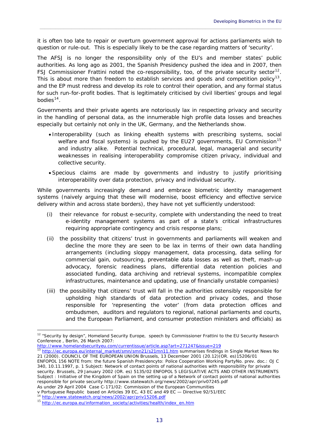it is often too late to repair or overturn government approval for actions parliaments wish to question or rule-out. This is especially likely to be the case regarding matters of 'security'.

 $\_$  , and the set of the set of the set of the set of the set of the set of the set of the set of the set of the set of the set of the set of the set of the set of the set of the set of the set of the set of the set of th

The AFSJ is no longer the responsibility only of the EU's and member states' public authorities. As long ago as 2001, the Spanish Presidency pushed the idea and in 2007, then FSJ Commissioner Frattini noted the co-responsibility, too, of the private security sector<sup>[12](#page-14-0)</sup>. This is about more than freedom to establish services and goods and competition policy<sup>[13](#page-14-1)</sup>, and the EP must redress and develop its role to control their operation, and any formal status for such run-for-profit bodies. That is legitimately criticised by civil liberties' groups and legal bodies $14$ .

Governments and their private agents are notoriously lax in respecting privacy and security in the handling of personal data, as the innumerable high profile data losses and breaches especially but certainly not only in the UK, Germany, and the Netherlands show.

- Interoperability (such as linking ehealth systems with prescribing systems, social welfare and fiscal systems) is pushed by the EU27 governments, EU Commission<sup>[15](#page-14-3)</sup> and industry alike. Potential technical, procedural, legal, managerial and security weaknesses in realising interoperability compromise citizen privacy, individual and collective security.
- Specious claims are made by governments and industry to justify prioritising interoperability over data protection, privacy and individual security.

While governments increasingly demand and embrace biometric identity management systems (naively arguing that these will modernise, boost efficiency and effective service delivery within and across state borders), they have not yet sufficiently understood:

- (i) their relevance for robust e-security, complete with understanding the need to treat e-identity management systems as part of a state's critical infrastructures requiring appropriate contingency and crisis response plans;
- (ii) the possibility that citizens' trust in governments and parliaments will weaken and decline the more they are seen to be lax in terms of their own data handling arrangements (including sloppy management, data processing, data selling for commercial gain, outsourcing, preventable data losses as well as theft, mash-up advocacy, forensic readiness plans, differential data retention policies and associated funding, data archiving and retrieval systems, incompatible complex infrastructures, maintenance and updating, use of financially unstable companies)
- (iii) the possibility that citizens' trust will fall in the authorities ostensibly responsible for upholding high standards of data protection and privacy codes, and those responsible for 'representing the voter' (from data protection offices and ombudsmen, auditors and regulators to regional, national parliaments and courts, and the European Parliament, and consumer protection ministers and officials) as

<span id="page-14-0"></span><http://www.homelandsecurityeu.com/currentissue/article.asp?art=271247&issue=219><br>13 http://ec.europe.ou/integral.com/currentissue/article.asp?art=271247&issue=219

ENFOPOL 156 NOTE from: the future Spanish Presidencyto: Police Cooperation Working PartyNo. prev. doc.: OJ C 340, 10.11.1997, p. 1 Subject: Network of contact points of national authorities with responsibility for private security. Brussels, 29 January 2002 (OR. es) 5135/02 ENFOPOL 5 LEGISLATIVE ACTS AND OTHER INSTRUMENTS Subject : Initiative of the Kingdom of Spain on the setting up of a Network of contact points of national authorities responsible for private security http://www.statewatch.org/news/2002/apr/priv07245.pdf As under 29 April 2004 Case C-171/02: Commission of the European Communities

v Portuguese Republic based on *Articles 39 EC, 43 EC and 49 EC — Directive 92/51/EEC*

<span id="page-14-2"></span>

1

<sup>&</sup>lt;sup>12</sup> "Security by design", Homeland Security Europe, speech by Commissioner Frattini to the EU Security Research Conference , Berlin, 26 March 2007:

<span id="page-14-1"></span>[http://ec.europa.eu/internal\\_market/smn/smn21/s21mn11.htm](http://ec.europa.eu/internal_market/smn/smn21/s21mn11.htm) summarises findings in Single Market News No 21 (2000). COUNCIL OF THE EUROPEAN UNION Brussels, 13 December 2001 (20.12)(OR. es)15206/01

<span id="page-14-3"></span><sup>15</sup> [http://ec.europa.eu/information\\_society/activities/health/index\\_en.htm](http://ec.europa.eu/information_society/activities/health/index_en.htm)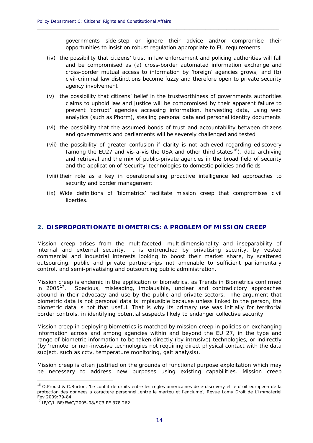governments side-step or ignore their advice and/or compromise their opportunities to insist on robust regulation appropriate to EU requirements

(iv) the possibility that citizens' trust in law enforcement and policing authorities will fall and be compromised as (a) cross-border automated information exchange and cross-border mutual access to information by 'foreign' agencies grows; and (b) civil-criminal law distinctions become fuzzy and therefore open to private security agency involvement

**\_\_\_\_\_\_\_\_\_\_\_\_\_\_\_\_\_\_\_\_\_\_\_\_\_\_\_\_\_\_\_\_\_\_\_\_\_\_\_\_\_\_\_\_\_\_\_\_\_\_\_\_\_\_\_\_\_\_\_\_\_\_\_\_\_\_\_\_\_\_\_\_\_\_\_\_\_\_\_\_\_\_\_\_\_\_\_\_\_\_\_\_**

- (v) the possibility that citizens' belief in the trustworthiness of governments authorities claims to uphold law and justice will be compromised by their apparent failure to prevent 'corrupt' agencies accessing information, harvesting data, using web analytics (such as Phorm), stealing personal data and personal identity documents
- (vi) the possibility that the assumed bonds of trust and accountability between citizens and governments and parliaments will be severely challenged and tested
- (vii) the possibility of greater confusion if clarity is not achieved regarding ediscovery (among the EU27 and vis-a-vis the USA and other third states<sup>[16](#page-15-1)</sup>), data archiving and retrieval and the mix of public-private agencies in the broad field of security and the application of 'security' technologies to domestic policies and fields
- (viii) their role as a key in operationalising proactive intelligence led approaches to security and border management
- (ix) Wide definitions of 'biometrics' facilitate mission creep that compromises civil liberties.

## <span id="page-15-0"></span>**2. DISPROPORTIONATE BIOMETRICS: A PROBLEM OF MISSION CREEP**

Mission creep arises from the multifaceted, multidimensionality and inseparability of internal and external security. It is entrenched by privatising security, by vested commercial and industrial interests looking to boost their market share, by scattered outsourcing, public and private partnerships not amenable to sufficient parliamentary control, and semi-privatising and outsourcing public administration.

Mission creep is endemic in the application of biometrics, as *Trends in Biometrics* confirmed in 2005<sup>[17](#page-15-2)</sup>. Specious, misleading, implausible, unclear and contradictory approaches abound in their advocacy and use by the public and private sectors. The argument that biometric data is not personal data is implausible because unless linked to the person, the biometric data is not that useful. That is why its primary use was initially for territorial border controls, in identifying potential suspects likely to endanger collective security.

Mission creep in deploying biometrics is matched by mission creep in policies on exchanging information across and among agencies within and beyond the EU 27, in the type and range of biometric information to be taken directly (by intrusive) technologies, or indirectly (by 'remote' or non-invasive technologies not requiring direct physical contact with the data subject, such as cctv, temperature monitoring, gait analysis).

Mission creep is often justified on the grounds of functional purpose exploitation which may be necessary to address new purposes using existing capabilities. Mission creep

<u>.</u>

<span id="page-15-1"></span><sup>&</sup>lt;sup>16</sup> O.Proust & C.Burton, 'Le conflit de droits entre les regles americaines de e-discovery et le droit europeen de la protection des donnees a caractere personnel…entre le marteu et l'enclume', Revue Lamy Droit de L'Immateriel Fev 2009:79-84

<span id="page-15-2"></span><sup>17</sup> IP/C/LIBE/FWC/2005-08/SC3 PE 378.262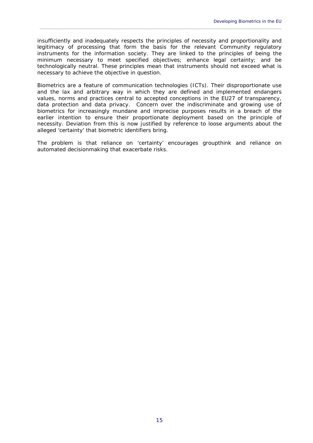insufficiently and inadequately respects the principles of necessity and proportionality and legitimacy of processing that form the basis for the relevant Community regulatory instruments for the information society. They are linked to the principles of being the *minimum* necessary to meet specified objectives; enhance legal certainty; and be technologically neutral. These principles mean that instruments should not exceed what is necessary to achieve the objective in question.

 $\_$  , and the set of the set of the set of the set of the set of the set of the set of the set of the set of the set of the set of the set of the set of the set of the set of the set of the set of the set of the set of th

Biometrics are a feature of communication technologies (ICTs). Their disproportionate use and the lax and arbitrary way in which they are defined and implemented endangers values, norms and practices central to accepted conceptions in the EU27 of transparency, data protection and data privacy. Concern over the indiscriminate and growing use of biometrics for increasingly mundane and imprecise purposes results in a breach of the earlier intention to ensure their proportionate deployment based on the principle of necessity. Deviation from this is now justified by reference to loose arguments about the alleged 'certainty' that biometric identifiers bring.

The problem is that reliance on 'certainty' encourages groupthink and reliance on automated decisionmaking that exacerbate risks.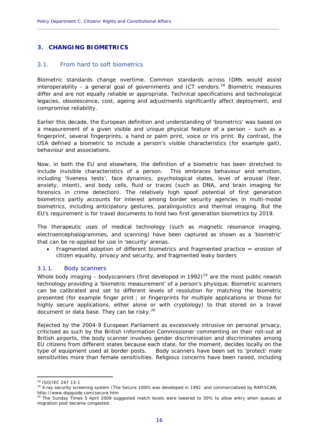## <span id="page-17-0"></span>**3. CHANGING BIOMETRICS**

## <span id="page-17-1"></span>3.1. From hard to soft biometrics

Biometric standards change overtime. Common standards across IDMs would assist  $interoperability - a general goal of governments and ICT vendors.<sup>18</sup> Biometric measures$  $interoperability - a general goal of governments and ICT vendors.<sup>18</sup> Biometric measures$  $interoperability - a general goal of governments and ICT vendors.<sup>18</sup> Biometric measures$ differ and are not equally reliable or appropriate. Technical specifications and technological legacies, obsolescence, cost, ageing and adjustments significantly affect deployment, and compromise reliability.

**\_\_\_\_\_\_\_\_\_\_\_\_\_\_\_\_\_\_\_\_\_\_\_\_\_\_\_\_\_\_\_\_\_\_\_\_\_\_\_\_\_\_\_\_\_\_\_\_\_\_\_\_\_\_\_\_\_\_\_\_\_\_\_\_\_\_\_\_\_\_\_\_\_\_\_\_\_\_\_\_\_\_\_\_\_\_\_\_\_\_\_\_**

Earlier this decade, the European definition and understanding of 'biometrics' was based on a measurement of a given visible and *unique* physical feature of a person – such as a fingerprint, several fingerprints, a hand or palm print, voice or iris print. By contrast, the USA defined a biometric to include a person's visible characteristics (for example gait), behaviour and associations.

Now, in both the EU and elsewhere, the definition of a biometric has been stretched to include invisible characteristics of a person. This embraces behaviour and emotion, including 'liveness tests', face dynamics, psychological states, level of arousal (fear, anxiety, intent), and body cells, fluid or traces (such as DNA, and brain imaging for forensics in crime detection). The relatively high spoof potential of first generation biometrics partly accounts for interest among border security agencies in multi-modal biometrics, including anticipatory gestures, paralinguistics and thermal imaging. But the EU's requirement is for travel documents to hold two first generation biometrics by 2019.

The therapeutic uses of medical technology (such as magnetic resonance imaging, electroencephalogrammes, and scanning) have been captured as shown as a 'biometric' that can be re-applied for use in 'security' arenas.

 Fragmented adoption of different biometrics and fragmented practice = erosion of citizen equality, privacy and security, and fragmented leaky borders

## <span id="page-17-2"></span>3.1.1. Body scanners

Whole body imaging – bodyscanners (first developed in [19](#page-17-4)92)<sup>19</sup> are the most public newish technology providing a 'biometric measurement' of a person's physique. Biometric scanners can be calibrated and set to different levels of resolution for matching the biometric presented (for example finger print ; or fingerprints for multiple applications or those for highly secure applications, either alone or with cryptology) to that stored on a travel document or data base. They can be risky.<sup>[20](#page-17-5)</sup>

Rejected by the 2004-9 European Parliament as excessively intrusive on personal privacy, criticised as such by the British Information Commissioner commenting on their roll-out at British airports, the body scanner involves gender discrimination and discriminates among EU citizens from different states because each state, for the moment, decides locally on the type of equipment used at border posts. Body scanners have been set to 'protect' male sensitivities more than female sensitivities. Religious concerns have been raised, including

1

<span id="page-17-4"></span><span id="page-17-3"></span><sup>&</sup>lt;sup>18</sup> ISO/IEC 247 13-1<br><sup>19</sup> X-ray security screening system (The Secure 1000) was developed in 1992 and commercialized by RAPISCAN, http://www.dspguide.com/secure.htm

<span id="page-17-5"></span><sup>&</sup>lt;sup>20</sup> The Sunday Times 5 April 2009 suggested match levels were lowered to 30% to allow entry when queues at migration post became congested.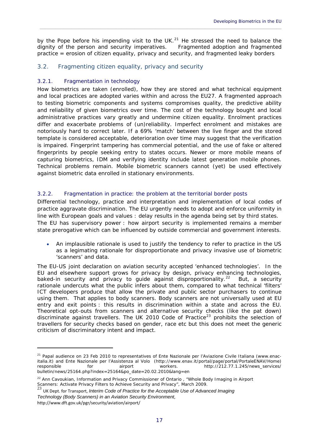by the Pope before his impending visit to the UK. $^{21}$  $^{21}$  $^{21}$  He stressed the need to balance the dignity of the person and security imperatives. Fragmented adoption and fragmented practice = erosion of citizen equality, privacy and security, and fragmented leaky borders

 $\_$  , and the set of the set of the set of the set of the set of the set of the set of the set of the set of the set of the set of the set of the set of the set of the set of the set of the set of the set of the set of th

## <span id="page-18-0"></span>3.2. Fragmenting citizen equality, privacy and security

## <span id="page-18-1"></span>3.2.1. Fragmentation in technology

1

How biometrics are taken (enrolled), how they are stored and what technical equipment and local practices are adopted varies within and across the EU27. A fragmented approach to testing biometric components and systems compromises quality, the predictive ability and reliability of given biometrics over time. The cost of the technology bought and local administrative practices vary greatly and undermine citizen equality. Enrolment practices differ and exacerbate problems of (un)reliability. Imperfect enrolment and mistakes are notoriously hard to correct later. If a 69% 'match' between the live finger and the stored template is considered acceptable, deterioration over time may suggest that the verification is impaired. Fingerprint tampering has commercial potential, and the use of fake or altered fingerprints by people seeking entry to states occurs. Newer or more mobile means of capturing biometrics, IDM and verifying identity include latest generation mobile phones. Technical problems remain. Mobile biometric scanners cannot (yet) be used effectively against biometric data enrolled in stationary environments.

## <span id="page-18-2"></span>3.2.2. Fragmentation in practice: the problem at the territorial border posts

Differential technology, practice and interpretation and implementation of local codes of practice aggravate discrimination. The EU urgently needs to adopt and enforce uniformity in line with European goals and values : delay results in the agenda being set by third states. The EU has supervisory power : how airport security is implemented remains a member state prerogative which can be influenced by outside commercial and government interests.

 *An implausible rationale is used to justify the tendency to refer to practice in the US as a legimating rationale for disproportionate and privacy invasive use of biometric 'scanners' and data.*

The EU-US joint declaration on aviation security accepted 'enhanced technologies'. In the EU and elsewhere support grows for privacy by design, privacy enhancing technologies, baked-in security and privacy to guide against disproportionality.<sup>[22](#page-18-4)</sup> But, a security rationale undercuts what the public infers about them, compared to what technical 'filters' ICT developers produce that allow the private and public sector purchasers to continue using them. That applies to body scanners. Body scanners are not universally used at EU entry and exit points : this results in discrimination within a state and across the EU. Theoretical opt-outs from scanners and alternative security checks (like the pat down) discriminate against travellers. The UK 2010 Code of Practice<sup>[23](#page-18-5)</sup> prohibits the selection of travellers for security checks based on gender, race etc but this does not meet the generic criticism of discriminatory intent and impact.

<span id="page-18-3"></span><sup>&</sup>lt;sup>21</sup> Papal audience on 23 Feb 2010 to representatives of Ente Nazionale per l'Aviazione Civile Italiana (www.enacitalia.it) and Ente Nazionale per l'Assistenza al Volo (http://www.enav.it/portal/page/portal/PortaleENAV/Home) responsible for airport workers. http://212.77.1.245/news\_services/ bulletin/news/25164.php?index=25164&po\_date=20.02.2010&lang=en

<span id="page-18-4"></span><sup>&</sup>lt;sup>22</sup> Ann Cavoukian, Information and Privacy Commissioner of Ontario, "Whole Body Imaging in Airport Scanners: Activate Privacy Filters to Achieve Security and Privacy", March 2009.

<span id="page-18-5"></span><sup>23</sup> UK Dept. for Transport, *Interim Code of Practice for the Acceptable Use of Advanced Imaging Technology (Body Scanners) in an Aviation Security Environment*, http://www.dft.gov.uk/pgr/security/aviation/airport/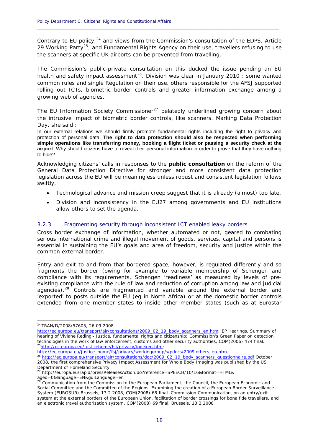Contrary to EU policy, $24$  and views from the Commission's consultation of the EDPS, Article 29 Working Party<sup>[25](#page-19-2)</sup>, and Fundamental Rights Agency on their use, travellers refusing to use the scanners at specific UK airports can be prevented from travelling.

**\_\_\_\_\_\_\_\_\_\_\_\_\_\_\_\_\_\_\_\_\_\_\_\_\_\_\_\_\_\_\_\_\_\_\_\_\_\_\_\_\_\_\_\_\_\_\_\_\_\_\_\_\_\_\_\_\_\_\_\_\_\_\_\_\_\_\_\_\_\_\_\_\_\_\_\_\_\_\_\_\_\_\_\_\_\_\_\_\_\_\_\_**

The Commission's public-private consultation on this ducked the issue pending an EU health and safety impact assessment<sup>[26](#page-19-3)</sup>. Division was clear in January 2010 : some wanted common rules and single Regulation on their use, others responsible for the AFSJ supported rolling out ICTs, biometric border controls and greater information exchange among a growing web of agencies.

The EU Information Society Commissioner<sup>[27](#page-19-4)</sup> belatedly underlined growing concern about the intrusive impact of biometric border controls, like scanners. Marking Data Protection Day, she said:

In our external relations we should firmly promote fundamental rights including the right to privacy and protection of personal data. **The right to data protection should also be respected when performing simple operations like transferring money, booking a flight ticket or passing a security check at the airport** .Why should citizens have to reveal their personal information in order to prove that they have nothing to hide?

Acknowledging citizens' calls in responses to the **public consultation** on the reform of the General Data Protection Directive for stronger and more consistent data protection legislation across the EU will be meaningless unless robust and consistent legislation follows swiftly.

- *Technological advance and mission creep suggest that it is already (almost) too late.*
- Division and inconsistency in the EU27 among governments and EU institutions allow others to set the agenda.

## <span id="page-19-0"></span>3.2.3. Fragmenting security through inconsistent ICT enabled leaky borders

Cross border exchange of information, whether automated or not, geared to combating serious international crime and illegal movement of goods, services, capital and persons is essential in sustaining the EU's goals and area of freedom, security and justice within the common external border.

Entry and exit to and from that bordered space, however, is regulated differently and so fragments the border (owing for example to variable membership of Schengen and compliance with its requirements, Schengen 'readiness' as measured by levels of preexisting compliance with the rule of law and reduction of corruption among law and judicial agencies).<sup>[28](#page-19-5)</sup> Controls are fragmented and variable around the external border and 'exported' to posts outside the EU (eg in North Africa) or at the domestic border controls extended from one member states to inside other member states (such as at Eurostar

1

<span id="page-19-3"></span><span id="page-19-2"></span>[http://ec.europa.eu/justice\\_home/fsj/privacy/workinggroup/wpdocs/2009](http://ec.europa.eu/justice_home/fsj/privacy/workinggroup/wpdocs/2009%E2%80%90others_en.htm)-others\_en.htm

<span id="page-19-1"></span><sup>24</sup> TRAN/D/2008/57605, 26.09.2008.

[http://ec.europa.eu/transport/air/consultations/2009\\_02\\_19\\_body\\_scanners\\_en.htm;](http://ec.europa.eu/transport/air/consultations/2009_02_19_body_scanners_en.htm) EP Hearings, Summary of hearing of Viviane Reding ‐ Justice, fundamental rights and citizenship; Commission's Green Paper on detection technologies in the work of law enforcement, customs and other security authorities, COM(2006) 474 final.<br><sup>25</sup>http://ec.europa.eu/justicehome/fsj/privacy/indexen.htm;

<sup>&</sup>lt;sup>26</sup> [http://ec.europa.eu/transport/air/consultations/doc/2009\\_02\\_19\\_body\\_scanners\\_questionnaire.pdf](http://ec.europa.eu/transport/air/consultations/doc/2009_02_19_body_scanners_questionnaire.pdf) October 2008, the first comprehensive Privacy Impact Assessment for Whole Body Imaging was published by the *US Department of Homeland Security*

<span id="page-19-4"></span><sup>27</sup> http://europa.eu/rapid/pressReleasesAction.do?reference=SPEECH/10/16&format=HTML& aged=0&language=EN&guiLanguage=en

<span id="page-19-5"></span><sup>&</sup>lt;sup>28</sup> Communication from the Commission to the European Parliament, the Council, the European Economic and Social Committee and the Committee of the Regions, Examining the creation of a European Border Surveillance System (EUROSUR) Brussels, 13.2.2008, COM(2008) 68 final Commission Communication, on an entry/exit system at the external borders of the European Union, facilitation of border crossings for bona fide travellers, and an electronic travel authorisation system, COM(2008) 69 final, Brussels, 13.2.2008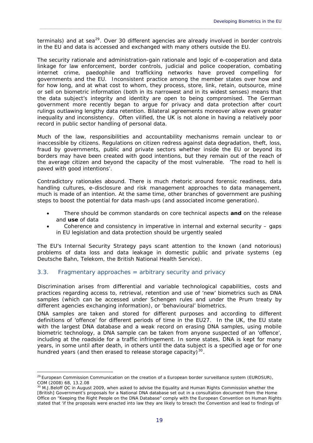terminals) and at sea $^{29}$  $^{29}$  $^{29}$ . Over 30 different agencies are already involved in border controls in the EU and data is accessed and exchanged with many others outside the EU.

 $\_$  , and the set of the set of the set of the set of the set of the set of the set of the set of the set of the set of the set of the set of the set of the set of the set of the set of the set of the set of the set of th

The security rationale and administration-gain rationale and logic of e-cooperation and data linkage for law enforcement, border controls, judicial and police cooperation, combating internet crime, paedophile and trafficking networks have proved compelling for governments and the EU. Inconsistent practice among the member states over how and for how long, and at what cost to whom, they process, store, link, retain, outsource, mine or sell on biometric information (both in its narrowest and in its widest senses) means that the data subject's integrity and identity are open to being compromised. The German government more recently began to argue for privacy and data protection after court rulings outlawing lengthy data retention. Bilateral agreements moreover allow even greater inequality and inconsistency. Often vilified, the UK is not alone in having a relatively poor record in public sector handling of personal data.

Much of the law, responsibilities and accountability mechanisms remain unclear to or inaccessible by citizens. Regulations on citizen redress against data degradation, theft, loss, fraud by governments, public and private sectors whether inside the EU or beyond its borders may have been created with good intentions, but they remain out of the reach of the average citizen and beyond the capacity of the most vulnerable. 'The road to hell is paved with good intentions'.

Contradictory rationales abound. There is much rhetoric around forensic readiness, data handling cultures, e-disclosure and risk management approaches to data management, much is made of an intention. At the same time, other branches of government are pushing steps to boost the potential for data mash-ups (and associated income generation).

- There should be common standards on core technical aspects *and* on the release and *use* of data
- Coherence and consistency in imperative in internal and external security gaps in EU legislation and data protection should be urgently sealed

The EU's Internal Security Strategy pays scant attention to the known (and notorious) problems of data loss and data leakage in domestic public and private systems (eg Deutsche Bahn, Telekom, the British National Health Service).

## <span id="page-20-0"></span>3.3. Fragmentary approaches = arbitrary security and privacy

Discrimination arises from differential and variable technological capabilities, costs and practices regarding access to, retrieval, retention and use of 'new' biometrics such as DNA samples (which can be accessed under Schengen rules and under the Prum treaty by different agencies exchanging information), or 'behavioural' biometrics.

DNA samples are taken and stored for different purposes and according to different definitions of 'offence' for different periods of time in the EU27. In the UK, the EU state with the largest DNA database and a weak record on erasing DNA samples, using mobile biometric technology, a DNA sample can be taken from anyone suspected of an 'offence', including at the roadside for a traffic infringement. In some states, DNA is kept for many years, in some until after death, in others until the data subject is a specified age or for one hundred years (and then erased to release storage capacity) $30$ .

<span id="page-20-1"></span><sup>1</sup> <sup>29</sup> European Commission Communication on the creation of a European border surveillance system (EUROSUR), COM (2008) 68, 13.2.08

<span id="page-20-2"></span><sup>&</sup>lt;sup>30</sup> M.J.Beloff QC in August 2009, when asked to advise the Equality and Human Rights Commission whether the [British] Government's proposals for a National DNA database set out in a consultation document from the Home Office on "Keeping the Right People on the DNA Database" comply with the European Convention on Human Rights stated that 'if the proposals were enacted into law they are likely to breach the Convention and lead to findings of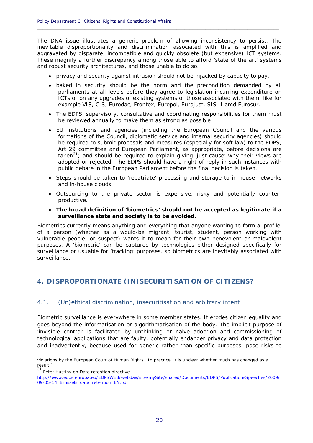The DNA issue illustrates a generic problem of allowing inconsistency to persist. The inevitable disproportionality and discrimination associated with this is amplified and aggravated by disparate, incompatible and quickly obsolete (but expensive) ICT systems. These magnify a further discrepancy among those able to afford 'state of the art' systems and robust security architectures, and those unable to do so.

**\_\_\_\_\_\_\_\_\_\_\_\_\_\_\_\_\_\_\_\_\_\_\_\_\_\_\_\_\_\_\_\_\_\_\_\_\_\_\_\_\_\_\_\_\_\_\_\_\_\_\_\_\_\_\_\_\_\_\_\_\_\_\_\_\_\_\_\_\_\_\_\_\_\_\_\_\_\_\_\_\_\_\_\_\_\_\_\_\_\_\_\_**

- privacy and security against intrusion should not be hijacked by capacity to pay.
- baked in security should be the norm and the precondition demanded by all parliaments at all levels before they agree to legislation incurring expenditure on ICTs or on any upgrades of existing systems or those associated with them, like for example VIS, CIS, Eurodac, Frontex, Europol, Eurojust, SIS II amd Eurosur.
- The EDPS' supervisory, consultative and coordinating responsibilities for them must be reviewed annually to make them as strong as possible
- EU institutions and agencies (including the European Council and the various formations of the Council, diplomatic service and internal security agencies) should be required to submit proposals and measures (especially for soft law) to the EDPS, Art 29 committee and European Parliament, as appropriate, *before* decisions are taken<sup>[31](#page-21-2)</sup>; and *should be required* to explain giving 'just cause' why their views are adopted or rejected. The EDPS should have a right of reply in such instances with public debate in the European Parliament *before* the final decision is taken.
- Steps should be taken to 'repatriate' processing and storage to in-house networks and in-house clouds.
- Outsourcing to the private sector is expensive, risky and potentially counterproductive.
- *The broad definition of 'biometrics' should not be accepted as legitimate if a surveillance state and society is to be avoided.*

Biometrics currently means anything and everything that anyone wanting to form a 'profile' of a person (whether as a would-be migrant, tourist, student, person working with vulnerable people, or suspect) wants it to mean for their own benevolent or malevolent purposes. A 'biometric' can be captured by technologies either designed specifically for surveillance or usuable for 'tracking' purposes, so biometrics are inevitably associated with surveillance.

## <span id="page-21-0"></span>**4. DISPROPORTIONATE (IN)SECURITISATION OF CITIZENS?**

## <span id="page-21-1"></span>4.1. (Un)ethical discrimination, insecuritisation and arbitrary intent

Biometric surveillance is everywhere in some member states. It erodes citizen equality and goes beyond the informatisation or algorithmatisation of the body. The implicit purpose of 'invisible control' is facilitated by unthinking or naive adoption and commissioning of technological applications that are faulty, potentially endanger privacy and data protection and inadvertently, because used for generic rather than specific purposes, pose risks to

1

violations by the European Court of Human Rights. In practice, it is unclear whether much has changed as a result.'

<span id="page-21-2"></span><sup>31</sup> Peter Hustinx on Data retention directive.

[http://www.edps.europa.eu/EDPSWEB/webdav/site/mySite/shared/Documents/EDPS/PublicationsSpeeches/2009/](http://www.edps.europa.eu/EDPSWEB/webdav/site/mySite/shared/Documents/EDPS/PublicationsSpeeches/2009/09-05-14_Brussels_data_retention_EN.pdf) [09-05-14\\_Brussels\\_data\\_retention\\_EN.pdf](http://www.edps.europa.eu/EDPSWEB/webdav/site/mySite/shared/Documents/EDPS/PublicationsSpeeches/2009/09-05-14_Brussels_data_retention_EN.pdf)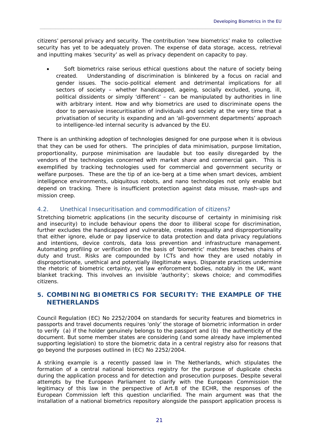citizens' personal privacy and security. The contribution 'new biometrics' make to collective security has yet to be adequately proven. The expense of data storage, access, retrieval and inputting makes 'security' as well as privacy dependent on capacity to pay.

 $\_$  , and the set of the set of the set of the set of the set of the set of the set of the set of the set of the set of the set of the set of the set of the set of the set of the set of the set of the set of the set of th

 Soft biometrics raise serious ethical questions about the nature of society being created. Understanding of discrimination is blinkered by a focus on racial and gender issues. The socio-political element and detrimental implications for all sectors of society – whether handicapped, ageing, socially excluded, young, ill, political dissidents or simply 'different' – can be manipulated by authorities in line with arbitrary intent. How and why biometrics are used to discriminate opens the door to pervasive insecuritisation of individuals and society at the very time that a privatisation of security is expanding and an 'all-government departments' approach to intelligence-led internal security is advanced by the EU.

There is an unthinking adoption of technologies designed for one purpose when it is obvious that they can be used for others. The principles of data minimisation, purpose limitation, proportionality, purpose minimisation are laudable but too easily disregarded by the vendors of the technologies concerned with market share and commercial gain. This is exemplified by tracking technologies used for commercial and government security or welfare purposes. These are the tip of an ice-berg at a time when smart devices, ambient intelligence environments, ubiquitous robots, and nano technologies not only enable but depend on tracking. There is insufficient protection against data misuse, mash-ups and mission creep.

## <span id="page-22-0"></span>4.2. Unethical Insecuritisation and commodification of citizens?

Stretching biometric applications (in the security discourse of certainty in minimising risk and insecurity) to include behaviour opens the door to illiberal scope for discrimination, further excludes the handicapped and vulnerable, creates inequality and disproportionality that either ignore, elude or pay lipservice to data protection and data privacy regulations and intentions, device controls, data loss prevention and infrastructure management. Automating profiling or verification on the basis of 'biometric' matches breaches chains of duty and trust. Risks are compounded by ICTs and how they are used notably in disproportionate, unethical and potentially illegitimate ways. Disparate practices undermine the rhetoric of biometric certainty, yet law enforcement bodies, notably in the UK, want blanket tracking. This involves an invisible 'authority'; skews choice; and commodifies citizens.

## <span id="page-22-1"></span>**5. COMBINING BIOMETRICS FOR SECURITY: THE EXAMPLE OF THE NETHERLANDS**

Council Regulation (EC) No 2252/2004 on standards for security features and biometrics in passports and travel documents requires 'only' the storage of biometric information in order to verify (a) if the holder genuinely belongs to the passport and (b) the authenticity of the document. But some member states are considering (and some already have implemented supporting legislation) to store the biometric data in a central registry also for reasons that go beyond the purposes outlined in (EC) No 2252/2004.

A striking example is a recently passed law in The Netherlands, which stipulates the formation of a central national biometrics registry for the purpose of duplicate checks during the application process *and* for detection and prosecution purposes. Despite several attempts by the European Parliament to clarify with the European Commission the legitimacy of this law in the perspective of Art.8 of the ECHR, the responses of the European Commission left this question unclarified. The main argument was that the installation of a national biometrics repository alongside the passport application process is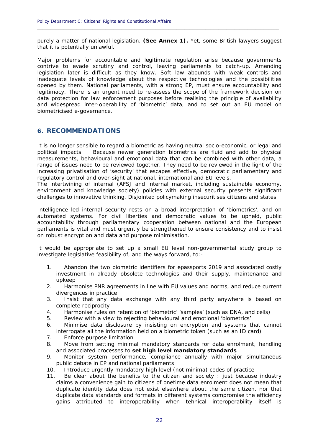purely a matter of national legislation. **(See Annex 1).** Yet, some British lawyers suggest that it is potentially unlawful.

**\_\_\_\_\_\_\_\_\_\_\_\_\_\_\_\_\_\_\_\_\_\_\_\_\_\_\_\_\_\_\_\_\_\_\_\_\_\_\_\_\_\_\_\_\_\_\_\_\_\_\_\_\_\_\_\_\_\_\_\_\_\_\_\_\_\_\_\_\_\_\_\_\_\_\_\_\_\_\_\_\_\_\_\_\_\_\_\_\_\_\_\_**

Major problems for accountable and legitimate regulation arise because governments contrive to evade scrutiny and control, leaving parliaments to catch-up. Amending legislation later is difficult as they know. Soft law abounds with weak controls and inadequate levels of knowledge about the respective technologies and the possibilities opened by them. National parliaments, with a strong EP, must ensure accountability and legitimacy. There is an urgent need to re-assess the scope of the framework decision on data protection for law enforcement purposes before realising the principle of availability and widespread inter-operability of 'biometric' data, and to set out an EU model on biometricised e-governance.

## <span id="page-23-0"></span>**6. RECOMMENDATIONS**

It is no longer sensible to regard a biometric as having neutral socio-economic, or legal and political impacts. Because newer generation biometrics are fluid and add to physical measurements, behavioural and emotional data that can be combined with other data, a range of issues need to be reviewed *together. They need to be reviewed in the light of the increasing privatisation of 'security' that escapes effective, democratic parliamentary and regulatory control and over-sight at national, international and EU levels.* 

*The intertwining of internal (AFSJ and internal market, including sustainable economy, environment and knowledge society) policies with external security presents significant challenges to innovative thinking. Disjointed policymaking insecuritises citizens and states.* 

Intelligence led internal security rests on a broad interpretation of 'biometrics', and on automated systems. For civil liberties and democratic values to be upheld, public accountability through parliamentary cooperation between national and the European parliaments is vital and must urgently be strengthened to ensure consistency and to insist on robust encryption and data and purpose minimisation.

It would be appropriate to set up a small EU level non-governmental study group to investigate legislative feasibility of, and the ways forward, to:-

- 1. Abandon the two biometric identifiers for epassports 2019 and associated costly investment in already obsolete technologies and their supply, maintenance and upkeep
- 2. Harmonise PNR agreements in line with EU values and norms, and reduce current divergences in practice
- 3. Insist that any data exchange with any third party anywhere is based on complete reciprocity
- 4. Harmonise rules on retention of 'biometric' 'samples' (such as DNA, and cells)
- 5. Review with a view to rejecting behavioural and emotional 'biometrics'
- 6. Minimise data disclosure by insisting on encryption and systems that cannot interrogate all the information held on a biometric token (such as an ID card)
- 7. Enforce purpose limitation
- 8. Move from setting minimal mandatory standards for data enrolment, handling and associated processes to **set high level mandatory standards**
- 9. Monitor system performance, compliance annually with major simultaneous public debate in EP and national parliaments
- 10. Introduce urgently mandatory high level (not minima) codes of practice
- 11. Be clear about the benefits to the citizen and society : just because industry claims a convenience gain to citizens of onetime data enrolment does not mean that duplicate identity data does not exist elsewhere about the same citizen, nor that duplicate data standards and formats in different systems compromise the efficiency gains attributed to interoperability when tehnical interoperability itself is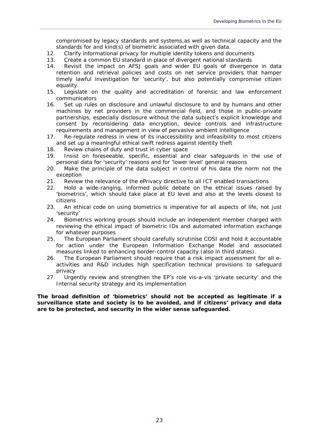compromised by legacy standards and systems,as well as technical capacity and the standards for and kind(s) of biometric associated with given data.

 $\_$  , and the set of the set of the set of the set of the set of the set of the set of the set of the set of the set of the set of the set of the set of the set of the set of the set of the set of the set of the set of th

- 12. Clarify informational privacy for multiple identity tokens and documents
- 13. Create a common EU standard in place of divergent national standards
- 14. Revisit the impact on AFSJ goals and wider EU goals of divergence in data retention and retrieval policies and costs on net service providers that hamper timely lawful investigation for 'security', but also potentially compromise citizen equality.
- 15. Legislate on the quality and accreditation of forensic and law enforcement communicators
- 16. Set up rules on disclosure and unlawful disclosure to and by humans and other machines by net providers in the commercial field, and those in public-private partnerships, especially disclosure without the data subject's explicit knowledge and consent by reconsidering data encryption, device controls and infrastructure requirements and management in view of pervasive ambient intelligence
- 17. Re-regulate redress in view of its inaccessibility and infeasibility to most citizens and set up a meaningful ethical swift redress against identity theft
- 18. Review chains of duty and trust in cyber space
- 19. Insist on foreseeable, specific, essential and clear safeguards in the use of personal data for 'security' reasons and for 'lower level' general reasons
- 20. Make the principle of the data subject in control of his data the norm not the exception
- 21. Review the relevance of the ePrivacy directive to all ICT enabled transactions
- 22. Hold a wide-ranging, informed public debate on the ethical issues raised by 'biometrics', which should take place at EU level and also at the levels closest to citizens
- *23.* An ethical code on using biometrics is imperative for all aspects of life, not just 'security'
- 24. Biometrics working groups should include an independent member charged with reviewing the ethical impact of biometric IDs and automated information exchange for whatever purposes
- 25. The European Parliament should carefully scrutinise COSI and hold it accountable for action under the European Information Exchange Model and associated measures linked to enhancing border-control capacity (also in third states).
- 26. The European Parliament should require that a risk impact assessment for all eactivities and R&D includes high specification technical provisions to safeguard privacy
- 27. Urgently review and strengthen the EP's role vis-a-vis 'private security' and the Internal security strategy and its implementation

*The broad definition of 'biometrics' should not be accepted as legitimate if a surveillance state and society is to be avoided, and if citizens' privacy and data are to be protected, and security in the wider sense safeguarded.*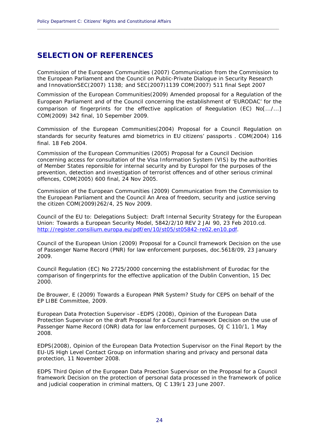## <span id="page-25-0"></span>**SELECTION OF REFERENCES**

Commission of the European Communities (2007) Communication from the Commission to the European Parliament and the Council on *Public-Private Dialogue in Security Research and Innovation*SEC(2007) 1138; and SEC(2007)1139 COM(2007) 511 final Sept 2007

**\_\_\_\_\_\_\_\_\_\_\_\_\_\_\_\_\_\_\_\_\_\_\_\_\_\_\_\_\_\_\_\_\_\_\_\_\_\_\_\_\_\_\_\_\_\_\_\_\_\_\_\_\_\_\_\_\_\_\_\_\_\_\_\_\_\_\_\_\_\_\_\_\_\_\_\_\_\_\_\_\_\_\_\_\_\_\_\_\_\_\_\_**

Commission of the European Communities(2009) Amended proposal for a Regulation of the European Parliament and of the Council concerning the establishment of 'EURODAC' for the comparison of fingerprints for the effective application of Reegulation (EC) No[.../...] COM(2009) 342 final, 10 Sepember 2009.

Commission of the European Communities(2004) *Proposal for a Council Regulation on standards for security features amd biometrics in EU citizens' passports* . COM(2004) 116 final. 18 Feb 2004.

Commission of the European Communities (2005) Proposal for a Council Decision concerning access for consultation of the Visa Information System (VIS) by the authorities of Member States reponsible for internal security and by Europol for the purposes of the prevention, detection and investigation of terrorist offences and of other serious criminal offences, COM(2005) 600 final, 24 Nov 2005.

Commission of the European Communities (2009) Communication from the Commission to the European Parliament and the Council *An Area of freedom, security and justice serving the citizen* COM(2009)262/4, 25 Nov 2009.

Council of the EU to: Delegations Subject: Draft Internal Security Strategy for the European Union: *Towards a European Security Model*, 5842/2/10 REV 2 JAI 90, 23 Feb 2010.cd. [http://register.consilium.europa.eu/pdf/en/10/st05/st05842-re02.en10.pdf.](http://register.consilium.europa.eu/pdf/en/10/st05/st05842-re02.en10.pdf)

Council of the European Union (2009) Proposal for a Council framework Decision on the use of Passenger Name Record (PNR) for law enforcement purposes, doc.5618/09, 23 January 2009.

Council Regulation (EC) No 2725/2000 concerning the establishment of Eurodac for the comparison of fingerprints for the effective application of the Dublin Convention, 15 Dec 2000.

De Brouwer, E (2009) Towards a European PNR System? Study for CEPS on behalf of the EP LIBE Committee, 2009.

European Data Protection Supervisor –EDPS (2008), Opinion of the European Data Protection Supervisor on the draft Proposal for a Council framework Decision on the use of Passenger Name Record (ONR) data for law enforcement purposes, OJ C 110/1, 1 May 2008.

EDPS(2008), Opinion of the European Data Protection Supervisor on the Final Report by the EU-US High Level Contact Group on information sharing and privacy and personal data protection, 11 November 2008.

EDPS Third Opion of the European Data Proection Supervisor on the Proposal for a Council framework Decision on the protection of personal data processed in the framework of police and judicial cooperation in criminal matters, OJ C 139/1 23 June 2007.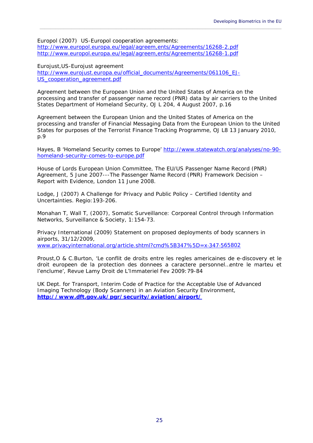Europol (2007) US-Europol cooperation agreements: <http://www.europol.europa.eu/legal/agreem,ents/Agreements/16268-2.pdf> <http://www.europol.europa.eu/legal/agreem,ents/Agreements/16268-1.pdf>

Eurojust,US-Eurojust agreement [http://www.eurojust.europa.eu/official\\_documents/Agreements/061106\\_EJ-](http://www.eurojust.europa.eu/official_documents/Agreements/061106_EJ-US_cooperation_agreement.pdf)US cooperation agreement.pdf

Agreement between the European Union and the United States of America on the processing and transfer of passenger name record (PNR) data by air carriers to the United States Department of Homeland Security, OJ L 204, 4 August 2007, p.16

 $\_$  , and the set of the set of the set of the set of the set of the set of the set of the set of the set of the set of the set of the set of the set of the set of the set of the set of the set of the set of the set of th

Agreement between the European Union and the United States of America on the processing and transfer of Financial Messaging Data from the European Union to the United States for purposes of the Terrorist Finance Tracking Programme, OJ L8 13 January 2010, p.9

Hayes, B 'Homeland Security comes to Europe' [http://www.statewatch.org/analyses/no-90](http://www.statewatch.org/analyses/no-90-homeland-security-comes-to-europe.pdf) [homeland-security-comes-to-europe.pdf](http://www.statewatch.org/analyses/no-90-homeland-security-comes-to-europe.pdf)

House of Lords European Union Committee, The *EU/US Passenger Name Record (PNR) Agreement*, 5 June 2007---The *Passenger Name Record (PNR) Framework Decision – Report with Evidence*, London 11 June 2008.

Lodge, J (2007) A Challenge for Privacy and Public Policy – Certified Identity and Uncertainties. *Regio*:193-206.

Monahan T, Wall T, (2007), Somatic Surveillance: Corporeal Control through Information Networks, Surveillance & Society, 1:154-73.

Privacy International (2009) Statement on proposed deployments of body scanners in airports, 31/12/2009, [www.privacyinternational.org/article.shtml?cmd%5B347%5D=x](http://www.privacyinternational.org/article.shtml?cmd%5B347%5D=x%E2%80%90347%E2%80%90565802)‐347‐565802

Proust,O & C.Burton, 'Le conflit de droits entre les regles americaines de e-discovery et le droit europeen de la protection des donnees a caractere personnel…entre le marteu et l'enclume', Revue Lamy Droit de L'Immateriel Fev 2009:79-84

UK Dept. for Transport, *Interim Code of Practice for the Acceptable Use of Advanced Imaging Technology (Body Scanners) in an Aviation Security Environment*, **<http://www.dft.gov.uk/pgr/security/aviation/airport/>**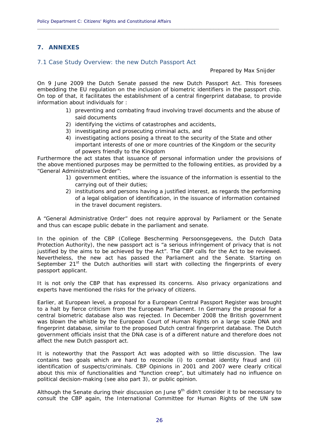## <span id="page-27-0"></span>**7. ANNEXES**

#### <span id="page-27-1"></span>7.1 Case Study Overview: the new Dutch Passport Act

Prepared by Max Snijder

On 9 June 2009 the Dutch Senate passed the new Dutch Passport Act. This foresees embedding the EU regulation on the inclusion of biometric identifiers in the passport chip. On top of that, it facilitates the establishment of a central fingerprint database, to provide information about individuals for :

**\_\_\_\_\_\_\_\_\_\_\_\_\_\_\_\_\_\_\_\_\_\_\_\_\_\_\_\_\_\_\_\_\_\_\_\_\_\_\_\_\_\_\_\_\_\_\_\_\_\_\_\_\_\_\_\_\_\_\_\_\_\_\_\_\_\_\_\_\_\_\_\_\_\_\_\_\_\_\_\_\_\_\_\_\_\_\_\_\_\_\_\_**

- 1) preventing and combating fraud involving travel documents and the abuse of said documents
- 2) identifying the victims of catastrophes and accidents,
- 3) investigating and prosecuting criminal acts, and
- 4) investigating actions posing a threat to the security of the State and other important interests of one or more countries of the Kingdom or the security of powers friendly to the Kingdom

Furthermore the act states that issuance of personal information under the provisions of the above mentioned purposes may be permitted to the following entities, as provided by a "General Administrative Order":

- 1) government entities, where the issuance of the information is essential to the carrying out of their duties;
- 2) institutions and persons having a justified interest, as regards the performing of a legal obligation of identification, in the issuance of information contained in the travel document registers.

A "General Administrative Order" does not require approval by Parliament or the Senate and thus can escape public debate in the parliament and senate.

In the opinion of the CBP (College Bescherming Persoonsgegevens, the Dutch Data Protection Authority), the new passport act is "a serious infringement of privacy that is not justified by the aims to be achieved by the Act". The CBP calls for the Act to be reviewed. Nevertheless, the new act has passed the Parliament and the Senate. Starting on September 21<sup>st</sup> the Dutch authorities will start with collecting the fingerprints of every passport applicant.

It is not only the CBP that has expressed its concerns. Also privacy organizations and experts have mentioned the risks for the privacy of citizens.

Earlier, at European level, a proposal for a European Central Passport Register was brought to a halt by fierce criticism from the European Parliament. In Germany the proposal for a central biometric database also was rejected. In December 2008 the British government was blown the whistle by the European Court of Human Rights on a large scale DNA and fingerprint database, similar to the proposed Dutch central fingerprint database. The Dutch government officials insist that the DNA case is of a different nature and therefore does not affect the new Dutch passport act.

It is noteworthy that the Passport Act was adopted with so little discussion. The law contains two goals which are hard to reconcile (i) to combat identity fraud and (ii) identification of suspects/criminals. CBP Opinions in 2001 and 2007 were clearly critical about this mix of functionalities and "function creep", but ultimately had no influence on political decision-making (see also part 3), or public opinion.

Although the Senate during their discussion on June  $9<sup>th</sup>$  didn't consider it to be necessary to consult the CBP again, the International Committee for Human Rights of the UN saw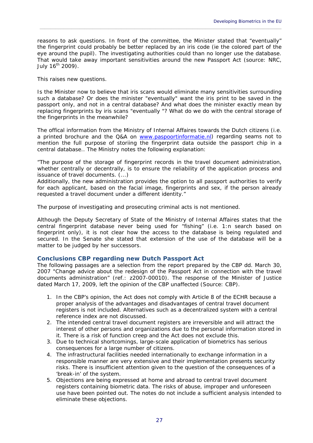reasons to ask questions. In front of the committee, the Minister stated that "eventually" the fingerprint could probably be better replaced by an iris code (ie the colored part of the eye around the pupil). The investigating authorities could than no longer use the database. That would take away important sensitivities around the new Passport Act (source: NRC, July  $16^{th}$  2009).

 $\_$  , and the set of the set of the set of the set of the set of the set of the set of the set of the set of the set of the set of the set of the set of the set of the set of the set of the set of the set of the set of th

This raises new questions.

Is the Minister now to believe that iris scans would eliminate many sensitivities surrounding such a database? Or does the minister "eventually" want the iris print to be saved in the passport only, and not in a central database? And what does the minister exactly mean by replacing fingerprints by iris scans "eventually "? What do we do with the central storage of the fingerprints in the meanwhile?

The offical information from the Ministry of Internal Affaires towards the Dutch citizens (i.e. a printed brochure and the Q&A on [www.paspoortinformatie.nl\)](http://www.paspoortinformatie.nl/) regarding seams not to mention the full purpose of storiing the fingerprint data outside the passport chip in a central database.. The Ministry notes the following explanation:

*"The purpose of the storage of fingerprint records in the travel document administration, whether centrally or decentrally, is to ensure the reliability of the application process and issuance of travel documents.* (...)

*Additionally, the new administration provides the option to all passport authorities to verify for each applicant, based on the facial image, fingerprints and sex, if the person already requested a travel document under a different identity."* 

The purpose of investigating and prosecuting criminal acts is not mentioned.

Although the Deputy Secretary of State of the Ministry of Internal Affaires states that the central fingerprint database never being used for "fishing" (i.e. 1:n search based on fingerprint only), it is not clear how the access to the database is being regulated and secured. In the Senate she stated that extension of the use of the database will be a matter to be judged by her successors.

## **Conclusions CBP regarding new Dutch Passport Act**

The following passages are a selection from the report prepared by the CBP dd. March 30, 2007 "Change advice about the redesign of the Passport Act in connection with the travel documents administration" (ref.: z2007-00010). The response of the Minister of Justice dated March 17, 2009, left the opinion of the CBP unaffected (Source: CBP).

- 1. In the CBP's opinion, the Act does not comply with Article 8 of the ECHR because a proper analysis of the advantages and disadvantages of central travel document registers is not included. Alternatives such as a decentralized system with a central reference index are not discussed.
- 2. The intended central travel document registers are irreversible and will attract the interest of other persons and organizations due to the personal information stored in it. There is a risk of function creep and the Act does not exclude this.
- 3. Due to technical shortcomings, large-scale application of biometrics has serious consequences for a large number of citizens.
- 4. The infrastructural facilities needed internationally to exchange information in a responsible manner are very extensive and their implementation presents security risks. There is insufficient attention given to the question of the consequences of a 'break-in' of the system.
- 5. Objections are being expressed at home and abroad to central travel document registers containing biometric data. The risks of abuse, improper and unforeseen use have been pointed out. The notes do not include a sufficient analysis intended to eliminate these objections.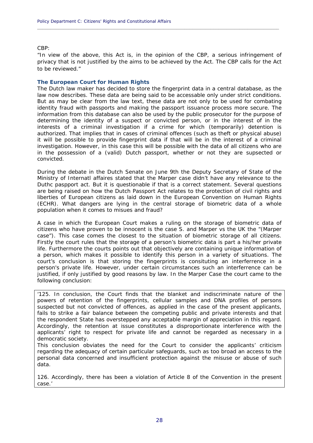CBP:

*"In view of the above, this Act is, in the opinion of the CBP, a serious infringement of privacy that is not justified by the aims to be achieved by the Act. The CBP calls for the Act to be reviewed."* 

**\_\_\_\_\_\_\_\_\_\_\_\_\_\_\_\_\_\_\_\_\_\_\_\_\_\_\_\_\_\_\_\_\_\_\_\_\_\_\_\_\_\_\_\_\_\_\_\_\_\_\_\_\_\_\_\_\_\_\_\_\_\_\_\_\_\_\_\_\_\_\_\_\_\_\_\_\_\_\_\_\_\_\_\_\_\_\_\_\_\_\_\_**

#### **The European Court for Human Rights**

The Dutch law maker has decided to store the fingerprint data in a central database, as the law now describes. These data are being said to be accessable only under strict conditions. But as may be clear from the law text, these data are not only to be used for combating identity fraud with passports and making the passport issuance process more secure. The information from this database can also be used by the public prosecutor for the purpose of determining the identity of a suspect or convicted person, or in the interest of in the interests of a criminal investigation if a crime for which (temporarily) detention is authorized. That implies that in cases of criminal offences (such as theft or physical abuse) it will be possible to provide fingerprint data if that will be in the interest of a criminal investigation. However, in this case this will be possible with the data of all citizens who are in the possession of a (valid) Dutch passport, whether or not they are supsected or convicted.

During the debate in the Dutch Senate on June 9th the Deputy Secretary of State of the Ministry of Internatl affaires stated that the Marper case didn't have any relevance to the Duthc paspport act. But it is questionable if that is a correct statement. Several questions are being raised on how the Dutch Passport Act relates to the protection of civil rights and liberties of European citizens as laid down in the European Convention on Human Rights (ECHR). What dangers are lying in the central storage of biometric data of a whole population when it comes to misues and fraud?

A case in which the European Court makes a ruling on the storage of biometric data of citizens who have proven to be innocent is the case *S. and Marper vs the UK the "(Marper case")*. This case comes the closest to the situation of biometric storage of all citizens. Firstly the court rules that the storage of a person's biometric data is part a his/her private life. Furthermore the courts points out that objectively are containing unique information of a person, which makes it possible to identify this person in a variety of situations. The court's conclusion is that storing the fingerprints is consituting an interferrence in a person's private life. However, under certain circumstances such an interferrence can be justified, if only justified by good reasons by law. In the *Marper Case* the court came to the following conclusion:

'125. In conclusion, the Court finds that the blanket and indiscriminate nature of the powers of retention of the fingerprints, cellular samples and DNA profiles of persons suspected but not convicted of offences, as applied in the case of the present applicants, fails to strike a fair balance between the competing public and private interests and that the respondent State has overstepped any acceptable margin of appreciation in this regard. Accordingly, the retention at issue constitutes a disproportionate interference with the applicants' right to respect for private life and cannot be regarded as necessary in a democratic society.

This conclusion obviates the need for the Court to consider the applicants' criticism regarding the adequacy of certain particular safeguards, such as too broad an access to the personal data concerned and insufficient protection against the misuse or abuse of such data.

126. Accordingly, there has been a violation of Article 8 of the Convention in the present case.'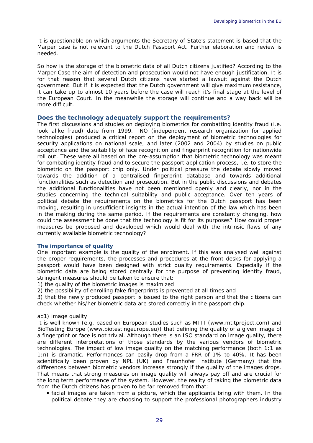It is questionable on which arguments the Secretary of State's statement is based that the Marper case is not relevant to the Dutch Passport Act. Further elaboration and review is needed.

 $\_$  , and the set of the set of the set of the set of the set of the set of the set of the set of the set of the set of the set of the set of the set of the set of the set of the set of the set of the set of the set of th

So how is the storage of the biometric data of all Dutch citizens justified? According to the *Marper Case* the aim of detection and prosecution would not have enough justification. It is for that reason that several Dutch citizens have started a lawsuit against the Dutch government. But if it is expected that the Dutch government will give maximum resistance, it can take up to almost 10 years before the case will reach it's final stage at the level of the European Court. In the meanwhile the storage will continue and a way back will be more difficult.

## **Does the technology adequately support the requirements?**

The first discussions and studies on deploying biometrics for combatting identity fraud (i.e. look alike fraud) date from 1999. TNO (independent research organization for applied technologies) produced a critical report on the deployment of biometric technologies for security applications on national scale, and later (2002 and 2004) by studies on public acceptance and the suitability of face recognition and fingerprint recognition for nationwide roll out. These were all based on the pre-assumption that biometric technology was meant for combating identity fraud and to secure the passport application process, i.e. to store the biometric on the passport chip only. Under political pressure the debate slowly moved towards the addition of a centralised fingerprint database and towards additional functionalities such as detection and prosecution. But in the public discussions and debates the additional functionalities have not been mentioned openly and clearly, nor in the studies concerning the technical suitability and public acceptance. Over ten years of political debate the requirements on the biometrics for the Dutch passport has been moving, resulting in unsufficient insights in the actual intention of the law which has been in the making during the same period. If the requirements are constantly changing, how could the assessment be done that the technology is fit for its purposes? How could proper measures be proposed and developed which would deal with the intrinsic flaws of any currently available biometric technology?

#### **The importance of quality**

One important example is the quality of the enrolment. If this was analysed well against the proper requirements, the processes and procedures at the front desks for applying a passport would have been designed with strict quality requirements. Especially if the biometric data are being stored centrally for the purpose of preventing identity fraud, stringent measures should be taken to ensure that:

1) the quality of the biometric images is maximized

2) the possibility of enrolling fake fingerprints is prevented at all times and

3) that the newly produced passport is issued to the right person and that the citizens can check whether his/her biometric data are stored correctly in the passport chip.

#### *ad1) image quality*

It is well known (e.g. based on European studies such as MTIT (www.mtitproject.com) and BioTesting Europe (www.biotestingeurope.eu)) that defining the quality of a given image of a fingerprint or face is not trivial. Although there is an ISO standard on image quality, there are different interpretations of those standards by the various vendors of biometric technologies. The impact of low image quality on the matching performance (both 1:1 as 1:n) is dramatic. Performances can easily drop from a FRR of 1% to 40%. It has been scientifically been proven by NPL (UK) and Fraunhofer Institute (Germany) that the differences between biometric vendors increase strongly if the quality of the images drops. That means that strong measures on image quality will always pay off and are crucial for the long term performance of the system. However, the reality of taking the biometric data from the Dutch citizens has proven to be far removed from that:

 facial images are taken from a picture, which the applicants bring with them. In the political debate they are choosing to support the professional photographers industry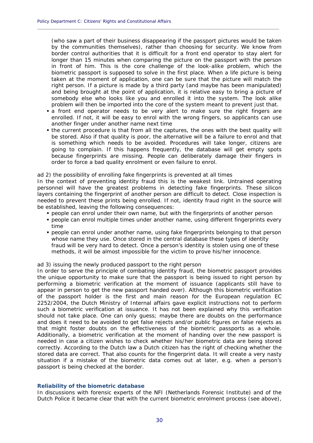(who saw a part of their business disappearing if the passport pictures would be taken by the communities themselves), rather than choosing for security. We know from border control authorities that it is difficult for a front end operator to stay alert for longer than 15 minutes when comparing the picture on the passport with the person in front of him. This is the core challenge of the look-alike problem, which the biometric passport is supposed to solve in the first place. When a life picture is being taken at the moment of application, one can be sure that the picture will match the right person. If a picture is made by a third party (and maybe has been manipulated) and being brought at the point of application, it is relative easy to bring a picture of somebody else who looks like you and enrolled it into the system. The look alike problem will then be imported into the core of the system meant to prevent just that.

**\_\_\_\_\_\_\_\_\_\_\_\_\_\_\_\_\_\_\_\_\_\_\_\_\_\_\_\_\_\_\_\_\_\_\_\_\_\_\_\_\_\_\_\_\_\_\_\_\_\_\_\_\_\_\_\_\_\_\_\_\_\_\_\_\_\_\_\_\_\_\_\_\_\_\_\_\_\_\_\_\_\_\_\_\_\_\_\_\_\_\_\_**

- a front end operator needs to be very alert to make sure the right fingers are enrolled. If not, it will be easy to enrol with the wrong fingers, so applicants can use another finger under another name next time
- the current procedure is that from all the captures, the ones with the best quality will be stored. Also if that quality is poor, the alternative will be a failure to enrol and that is something which needs to be avoided. Procedures will take longer, citizens are going to complain. If this happens frequently, the database will get empty spots because fingerprints are missing. People can deliberately damage their fingers in order to force a bad quality enrolment or even failure to enrol.

#### *ad 2) the possibility of enrolling fake fingerprints is prevented at all times*

In the context of preventing identity fraud this is the weakest link. Untrained operating personnel will have the greatest problems in detecting fake fingerprints. These silicon layers containing the fingerprint of another person are difficult to detect. Close inspection is needed to prevent these prints being enrolled. If not, identity fraud right in the source will be established, leaving the following consequences:

- people can enrol under their own name, but with the fingerprints of another person
- people can enrol multiple times under another name, using different fingerprints every time
- people can enrol under another name, using fake fingerprints belonging to that person whose name they use. Once stored in the central database these types of identity fraud will be very hard to detect. Once a person's identity is stolen using one of these methods, it will be almost impossible for the victim to prove his/her innocence.

#### *ad 3) issuing the newly produced passport to the right person*

In order to serve the principle of combating identity fraud, the biometric passport provides the unique opportunity to make sure that the passport is being issued to right person by performing a biometric verification at the moment of issuance (applicants still have to appear in person to get the new passport handed over). Although this biometric verification of the passport holder is the first and main reason for the European regulation EC 2252/2004, the Dutch Ministry of Internal affairs gave explicit instructions not to perform such a biometric verification at issuance. It has not been explained why this verification should not take place. One can only guess; maybe there are doubts on the performance and does it need to be avoided to get false rejects and/or public figures on false rejects as that might foster doubts on the effectiveness of the biometric passports as a whole. Additionally, a biometric verification at the moment of handing over the new passport is needed in case a citizen wishes to check whether his/her biometric data are being stored correctly. According to the Dutch law a Dutch citizen has the right of checking whether the stored data are correct. That also counts for the fingerprint data. It will create a very nasty situation if a mistake of the biometric data comes out at later, e.g. when a person's passport is being checked at the border.

#### **Reliability of the biometric database**

In discussions with forensic experts of the NFI (Netherlands Forensic Institute) and of the Dutch Police it became clear that with the current biometric enrolment process (see above),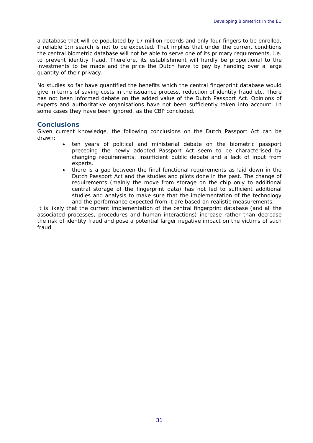a database that will be populated by 17 million records and only four fingers to be enrolled, a reliable 1:n search is not to be expected. That implies that under the current conditions the central biometric database will not be able to serve one of its primary requirements, i.e. to prevent identity fraud. Therefore, its establishment will hardly be proportional to the investments to be made and the price the Dutch have to pay by handing over a large quantity of their privacy.

 $\_$  , and the set of the set of the set of the set of the set of the set of the set of the set of the set of the set of the set of the set of the set of the set of the set of the set of the set of the set of the set of th

No studies so far have quantified the benefits which the central fingerprint database would give in terms of saving costs in the issuance process, reduction of identity fraud etc. There has not been informed debate on the added value of the Dutch Passport Act. Opinions of experts and authoritative organisations have not been sufficiently taken into account. In some cases they have been ignored, as the CBP concluded.

## **Conclusions**

Given current knowledge, the following conclusions on the Dutch Passport Act can be drawn:

- ten years of political and ministerial debate on the biometric passport preceding the newly adopted Passport Act seem to be characterised by changing requirements, insufficient public debate and a lack of input from experts.
- there is a gap between the final functional requirements as laid down in the Dutch Passport Act and the studies and pilots done in the past. The change of requirements (mainly the move from storage on the chip only to additional central storage of the fingerprint data) has not led to sufficient additional studies and analysis to make sure that the implementation of the technology and the performance expected from it are based on realistic measurements.

It is likely that the current implementation of the central fingerprint database (and all the associated processes, procedures and human interactions) increase rather than decrease the risk of identity fraud and pose a potential larger negative impact on the victims of such fraud.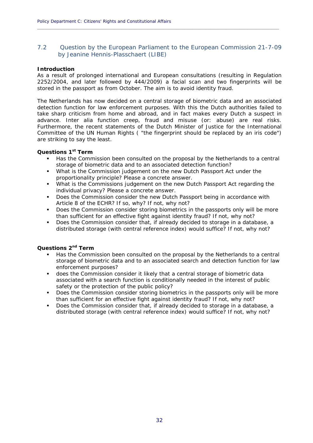## <span id="page-33-0"></span>7.2 Question by the European Parliament to the European Commission 21-7-09 by Jeanine Hennis-Plasschaert (LIBE)

**\_\_\_\_\_\_\_\_\_\_\_\_\_\_\_\_\_\_\_\_\_\_\_\_\_\_\_\_\_\_\_\_\_\_\_\_\_\_\_\_\_\_\_\_\_\_\_\_\_\_\_\_\_\_\_\_\_\_\_\_\_\_\_\_\_\_\_\_\_\_\_\_\_\_\_\_\_\_\_\_\_\_\_\_\_\_\_\_\_\_\_\_**

#### **Introduction**

As a result of prolonged international and European consultations (resulting in Regulation 2252/2004, and later followed by 444/2009) a facial scan and two fingerprints will be stored in the passport as from October. The aim is to avoid identity fraud.

The Netherlands has now decided on a central storage of biometric data and an associated detection function for law enforcement purposes. With this the Dutch authorities failed to take sharp criticism from home and abroad, and in fact makes every Dutch a suspect in advance. Inter alia function creep, fraud and misuse (or: abuse) are real risks. Furthermore, the recent statements of the Dutch Minister of Justice for the International Committee of the UN Human Rights ( "the fingerprint should be replaced by an iris code") are striking to say the least.

## **Questions 1st Term**

- Has the Commission been consulted on the proposal by the Netherlands to a central storage of biometric data and to an associated detection function?
- What is the Commission judgement on the new Dutch Passport Act under the proportionality principle? Please a concrete answer.
- What is the Commissions judgement on the new Dutch Passport Act regarding the individual privacy? Please a concrete answer.
- Does the Commission consider the new Dutch Passport being in accordance with Article 8 of the ECHR? If so, why? If not, why not?
- Does the Commission consider storing biometrics in the passports only will be more than sufficient for an effective fight against identity fraud? If not, why not?
- Does the Commission consider that, if already decided to storage in a database, a distributed storage (with central reference index) would suffice? If not, why not?

## **Questions 2nd Term**

- Has the Commission been consulted on the proposal by the Netherlands to a central storage of biometric data and to an associated search and detection function for law enforcement purposes?
- does the Commission consider it likely that a central storage of biometric data associated with a search function is conditionally needed in the interest of public safety or the protection of the public policy?
- Does the Commission consider storing biometrics in the passports only will be more than sufficient for an effective fight against identity fraud? If not, why not?
- Does the Commission consider that, if already decided to storage in a database, a distributed storage (with central reference index) would suffice? If not, why not?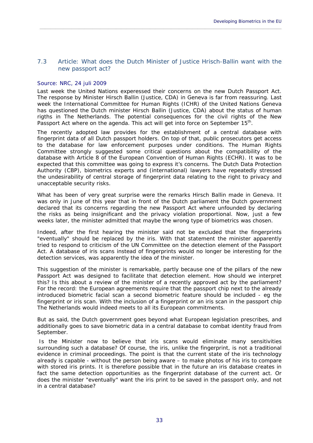## <span id="page-34-0"></span>7.3 Article: What does the Dutch Minister of Justice Hrisch-Ballin want with the new passport act?

 $\_$  , and the set of the set of the set of the set of the set of the set of the set of the set of the set of the set of the set of the set of the set of the set of the set of the set of the set of the set of the set of th

## <span id="page-34-1"></span>Source: NRC, 24 juli 2009

Last week the United Nations experessed their concerns on the new Dutch Passport Act. The response by Minister Hirsch Ballin (Justice, CDA) in Geneva is far from reassuring. Last week the International Committee for Human Rights (ICHR) of the United Nations Geneva has questioned the Dutch minister Hirsch Ballin (Justice, CDA) about the status of human rigths in The Netherlands. The potential consequences for the civil rights of the New Passport Act where on the agenda. This act will get into force on September 15<sup>th</sup>.

The recently adopted law provides for the establishment of a central database with fingerprint data of all Dutch passport holders. On top of that, public prosecutors get access to the database for law enforcement purposes under conditions. The Human Rights Committee strongly suggested some critical questions about the compatibility of the database with Article 8 of the European Convention of Human Rights (ECHR). It was to be expected that this committee was going to express it's concerns. The Dutch Data Protection Authority (CBP), biometrics experts and (international) lawyers have repeatedly stressed the undesirability of central storage of fingerprint data relating to the right to privacy and unacceptable security risks.

What has been of very great surprise were the remarks Hirsch Ballin made in Geneva. It was only in June of this year that in front of the Dutch parliament the Dutch government declared that its concerns regarding the new Passport Act where unfounded by declaring the risks as being insignificant and the privacy violation proportional. Now, just a few weeks later, the minister admitted that maybe the wrong type of biometrics was chosen.

Indeed, after the first hearing the minister said not be excluded that the fingerprints "eventually" should be replaced by the iris. With that statement the minister apparently tried to respond to criticism of the UN Committee on the detection element of the Passport Act. A database of iris scans instead of fingerprints would no longer be interesting for the detection services, was apparently the idea of the minister.

This suggestion of the minister is remarkable, partly because one of the pillars of the new Passport Act was designed to facilitate that detection element. How should we interpret this? Is this about a review of the minister of a recently approved act by the parliament? For the record: the European agreements require that the passport chip next to the already introduced biometric facial scan a second biometric feature should be included - eg the fingerprint or iris scan. With the inclusion of a fingerprint or an iris scan in the passport chip The Netherlands would indeed meets to all its European commitments.

But as said, the Dutch government goes beyond what European legislation prescribes, and additionally goes to save biometric data in a central database to combat identity fraud from September.

 Is the Minister now to believe that iris scans would eliminate many sensitivities surrounding such a database? Of course, the iris, unlike the fingerprint, is not a traditional evidence in criminal proceedings. The point is that the current state of the iris technology already is capable - without the person being aware – to make photos of his iris to compare with stored iris prints. It is therefore possible that in the future an iris database creates in fact the same detection opportunities as the fingerprint database of the current act. Or does the minister "eventually" want the iris print to be saved in the passport only, and not in a central database?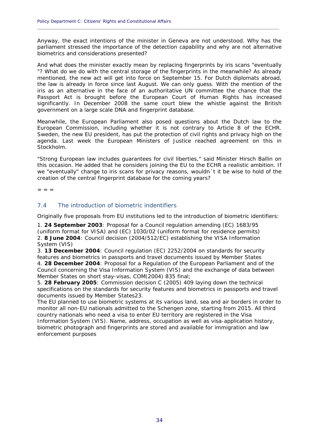Anyway, the exact intentions of the minister in Geneva are not understood. Why has the parliament stressed the importance of the detection capability and why are not alternative biometrics and considerations presented?

**\_\_\_\_\_\_\_\_\_\_\_\_\_\_\_\_\_\_\_\_\_\_\_\_\_\_\_\_\_\_\_\_\_\_\_\_\_\_\_\_\_\_\_\_\_\_\_\_\_\_\_\_\_\_\_\_\_\_\_\_\_\_\_\_\_\_\_\_\_\_\_\_\_\_\_\_\_\_\_\_\_\_\_\_\_\_\_\_\_\_\_\_**

And what does the minister exactly mean by replacing fingerprints by iris scans "eventually "? What do we do with the central storage of the fingerprints in the meanwhile? As already mentioned, the new act will get into force on September 15. For Dutch diplomats abroad, the law is already in force since last August. We can only guess. With the mention of the iris as an alternative in the face of an authoritative UN committee the chance that the Passport Act is brought before the European Court of Human Rights has increased significantly. In December 2008 the same court blew the whistle against the British government on a large scale DNA and fingerprint database.

Meanwhile, the European Parliament also posed questions about the Dutch law to the European Commission, including whether it is not contrary to Article 8 of the ECHR. Sweden, the new EU president, has put the protection of civil rights and privacy high on the agenda. Last week the European Ministers of Justice reached agreement on this in Stockholm.

"Strong European law includes guarantees for civil liberties," said Minister Hirsch Ballin on this occasion. He added that he considers joining the EU to the ECHR a realistic ambition. If we "eventually" change to iris scans for privacy reasons, wouldn´t it be wise to hold of the creation of the central fingerprint database for the coming years?

 $=$   $=$   $=$ 

## <span id="page-35-0"></span>7.4 The introduction of biometric indentifiers

Originally *five* proposals from EU institutions led to the introduction of biometric identifiers:

1. **24 September 2003**: Proposal for a Council regulation amending (EC) 1683/95 (uniform format for VISA) and (EC) 1030/02 (uniform format for residence permits) 2. **8 June 2004**: Council decision (2004/512/EC) establishing the VISA Information System (VIS)

3. **13 December 2004**: Council regulation (EC) 2252/2004 on standards for security features and biometrics in passports and travel documents issued by Member States 4. **28 December 2004**: Proposal for a Regulation of the European Parliament and of the Council concerning the Visa Information System (VIS) and the exchange of data between Member States on short stay-visas, COM(2004) 835 final;

5. **28 February 2005**: Commission decision C (2005) 409 laying down the technical specifications on the standards for security features and biometrics in passports and travel documents issued by Member States23.

The EU planned to use biometric systems at its various land, sea and air borders in order to monitor all non-EU nationals admitted to the Schengen zone, starting from 2015. All third country nationals who need a visa to enter EU territory are registered in the Visa Information System (VIS). Name, address, occupation as well as visa-application history, biometric photograph and fingerprints are stored and available for immigration and law enforcement purposes